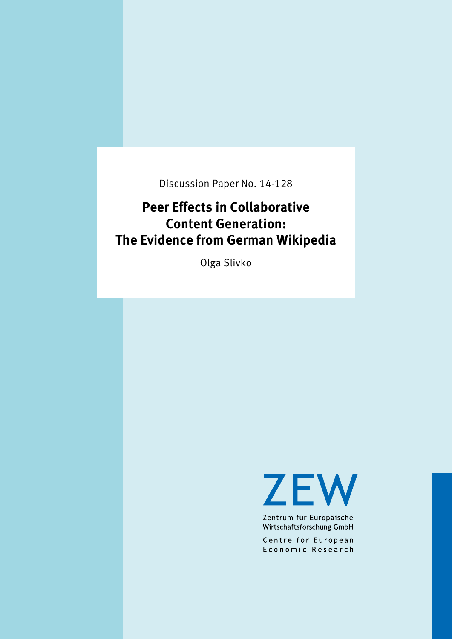Discussion Paper No. 14-128

# **Peer Effects in Collaborative Content Generation: The Evidence from German Wikipedia**

Olga Slivko

**ZEW** 

Zentrum für Europäische Wirtschaftsforschung GmbH

Centre for European Economic Research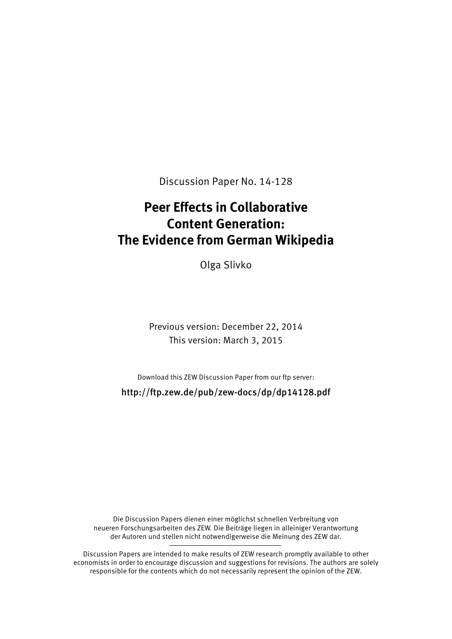Discussion Paper No. 14-128

# **Peer Effects in Collaborative Content Generation: The Evidence from German Wikipedia**

Olga Slivko

Previous version: December 22, 2014 This version: March 3, 2015

Download this ZEW Discussion Paper from our ftp server:

http://ftp.zew.de/pub/zew-docs/dp/dp14128.pdf

Die Discussion Papers dienen einer möglichst schnellen Verbreitung von neueren Forschungsarbeiten des ZEW. Die Beiträge liegen in alleiniger Verantwortung der Autoren und stellen nicht notwendigerweise die Meinung des ZEW dar.

Discussion Papers are intended to make results of ZEW research promptly available to other economists in order to encourage discussion and suggestions for revisions. The authors are solely responsible for the contents which do not necessarily represent the opinion of the ZEW.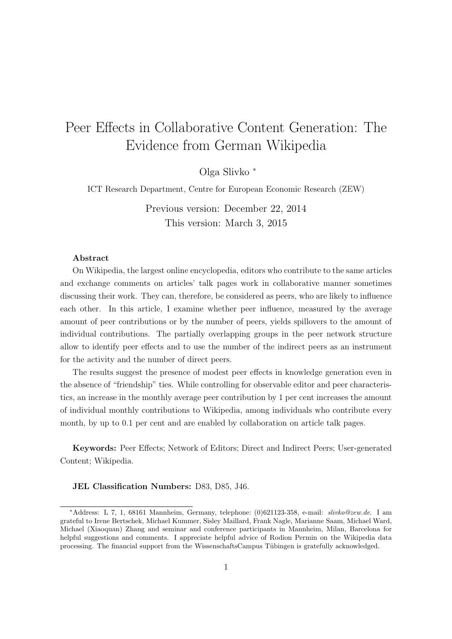# Peer Effects in Collaborative Content Generation: The Evidence from German Wikipedia

Olga Slivko ⇤

ICT Research Department, Centre for European Economic Research (ZEW)

Previous version: December 22, 2014 This version: March 3, 2015

#### Abstract

On Wikipedia, the largest online encyclopedia, editors who contribute to the same articles and exchange comments on articles' talk pages work in collaborative manner sometimes discussing their work. They can, therefore, be considered as peers, who are likely to influence each other. In this article, I examine whether peer influence, measured by the average amount of peer contributions or by the number of peers, yields spillovers to the amount of individual contributions. The partially overlapping groups in the peer network structure allow to identify peer effects and to use the number of the indirect peers as an instrument for the activity and the number of direct peers.

The results suggest the presence of modest peer effects in knowledge generation even in the absence of "friendship" ties. While controlling for observable editor and peer characteristics, an increase in the monthly average peer contribution by 1 per cent increases the amount of individual monthly contributions to Wikipedia, among individuals who contribute every month, by up to 0.1 per cent and are enabled by collaboration on article talk pages.

Keywords: Peer Effects; Network of Editors; Direct and Indirect Peers; User-generated Content; Wikipedia.

#### JEL Classification Numbers: D83, D85, J46.

<sup>⇤</sup>Address: L 7, 1, 68161 Mannheim, Germany, telephone: (0)621123-358, e-mail: *slivko@zew.de*. I am grateful to Irene Bertschek, Michael Kummer, Sisley Maillard, Frank Nagle, Marianne Saam, Michael Ward, Michael (Xiaoquan) Zhang and seminar and conference participants in Mannheim, Milan, Barcelona for helpful suggestions and comments. I appreciate helpful advice of Rodion Permin on the Wikipedia data processing. The financial support from the WissenschaftsCampus Tübingen is gratefully acknowledged.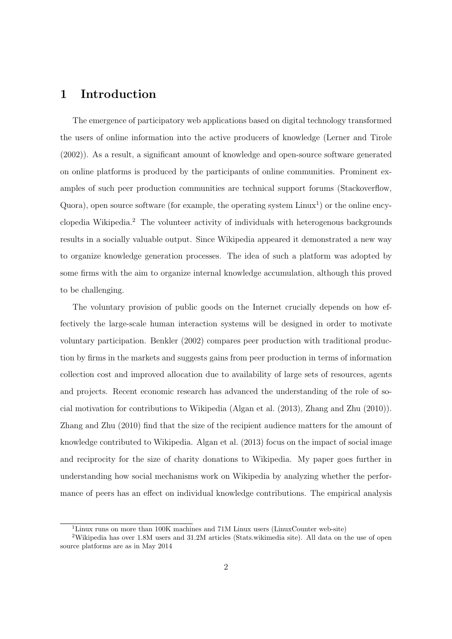# 1 Introduction

The emergence of participatory web applications based on digital technology transformed the users of online information into the active producers of knowledge (Lerner and Tirole (2002)). As a result, a significant amount of knowledge and open-source software generated on online platforms is produced by the participants of online communities. Prominent examples of such peer production communities are technical support forums (Stackoverflow, Quora), open source software (for example, the operating system  $\text{Linux}^1$ ) or the online encyclopedia Wikipedia.<sup>2</sup> The volunteer activity of individuals with heterogenous backgrounds results in a socially valuable output. Since Wikipedia appeared it demonstrated a new way to organize knowledge generation processes. The idea of such a platform was adopted by some firms with the aim to organize internal knowledge accumulation, although this proved to be challenging.

The voluntary provision of public goods on the Internet crucially depends on how effectively the large-scale human interaction systems will be designed in order to motivate voluntary participation. Benkler (2002) compares peer production with traditional production by firms in the markets and suggests gains from peer production in terms of information collection cost and improved allocation due to availability of large sets of resources, agents and projects. Recent economic research has advanced the understanding of the role of social motivation for contributions to Wikipedia (Algan et al. (2013), Zhang and Zhu (2010)). Zhang and Zhu (2010) find that the size of the recipient audience matters for the amount of knowledge contributed to Wikipedia. Algan et al. (2013) focus on the impact of social image and reciprocity for the size of charity donations to Wikipedia. My paper goes further in understanding how social mechanisms work on Wikipedia by analyzing whether the performance of peers has an effect on individual knowledge contributions. The empirical analysis

<sup>&</sup>lt;sup>1</sup>Linux runs on more than 100K machines and 71M Linux users (LinuxCounter web-site)

<sup>2</sup>Wikipedia has over 1.8M users and 31.2M articles (Stats.wikimedia site). All data on the use of open source platforms are as in May 2014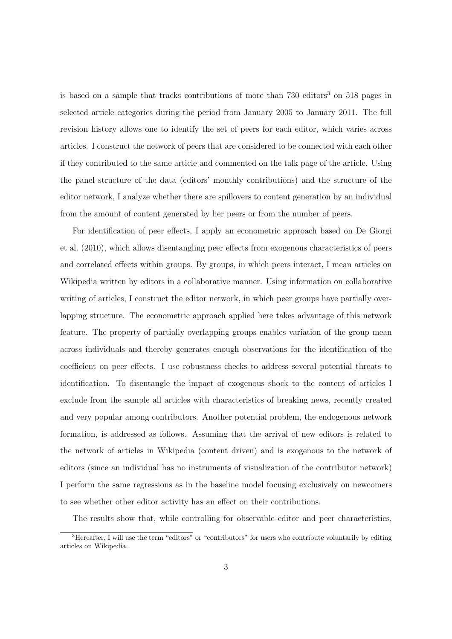is based on a sample that tracks contributions of more than  $730$  editors<sup>3</sup> on  $518$  pages in selected article categories during the period from January 2005 to January 2011. The full revision history allows one to identify the set of peers for each editor, which varies across articles. I construct the network of peers that are considered to be connected with each other if they contributed to the same article and commented on the talk page of the article. Using the panel structure of the data (editors' monthly contributions) and the structure of the editor network, I analyze whether there are spillovers to content generation by an individual from the amount of content generated by her peers or from the number of peers.

For identification of peer effects, I apply an econometric approach based on De Giorgi et al.  $(2010)$ , which allows disentangling peer effects from exogenous characteristics of peers and correlated effects within groups. By groups, in which peers interact, I mean articles on Wikipedia written by editors in a collaborative manner. Using information on collaborative writing of articles, I construct the editor network, in which peer groups have partially overlapping structure. The econometric approach applied here takes advantage of this network feature. The property of partially overlapping groups enables variation of the group mean across individuals and thereby generates enough observations for the identification of the coefficient on peer effects. I use robustness checks to address several potential threats to identification. To disentangle the impact of exogenous shock to the content of articles I exclude from the sample all articles with characteristics of breaking news, recently created and very popular among contributors. Another potential problem, the endogenous network formation, is addressed as follows. Assuming that the arrival of new editors is related to the network of articles in Wikipedia (content driven) and is exogenous to the network of editors (since an individual has no instruments of visualization of the contributor network) I perform the same regressions as in the baseline model focusing exclusively on newcomers to see whether other editor activity has an effect on their contributions.

The results show that, while controlling for observable editor and peer characteristics,

 $3$ Hereafter, I will use the term "editors" or "contributors" for users who contribute voluntarily by editing articles on Wikipedia.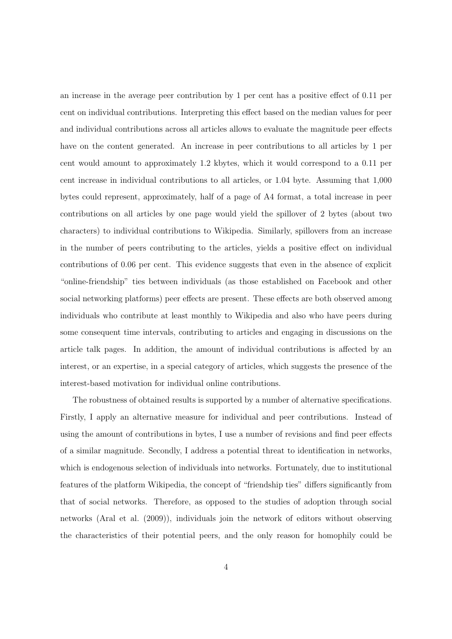an increase in the average peer contribution by  $1$  per cent has a positive effect of  $0.11$  per cent on individual contributions. Interpreting this effect based on the median values for peer and individual contributions across all articles allows to evaluate the magnitude peer effects have on the content generated. An increase in peer contributions to all articles by 1 per cent would amount to approximately 1.2 kbytes, which it would correspond to a 0.11 per cent increase in individual contributions to all articles, or 1.04 byte. Assuming that 1,000 bytes could represent, approximately, half of a page of A4 format, a total increase in peer contributions on all articles by one page would yield the spillover of 2 bytes (about two characters) to individual contributions to Wikipedia. Similarly, spillovers from an increase in the number of peers contributing to the articles, yields a positive effect on individual contributions of 0.06 per cent. This evidence suggests that even in the absence of explicit "online-friendship" ties between individuals (as those established on Facebook and other social networking platforms) peer effects are present. These effects are both observed among individuals who contribute at least monthly to Wikipedia and also who have peers during some consequent time intervals, contributing to articles and engaging in discussions on the article talk pages. In addition, the amount of individual contributions is affected by an interest, or an expertise, in a special category of articles, which suggests the presence of the interest-based motivation for individual online contributions.

The robustness of obtained results is supported by a number of alternative specifications. Firstly, I apply an alternative measure for individual and peer contributions. Instead of using the amount of contributions in bytes, I use a number of revisions and find peer effects of a similar magnitude. Secondly, I address a potential threat to identification in networks, which is endogenous selection of individuals into networks. Fortunately, due to institutional features of the platform Wikipedia, the concept of "friendship ties" differs significantly from that of social networks. Therefore, as opposed to the studies of adoption through social networks (Aral et al. (2009)), individuals join the network of editors without observing the characteristics of their potential peers, and the only reason for homophily could be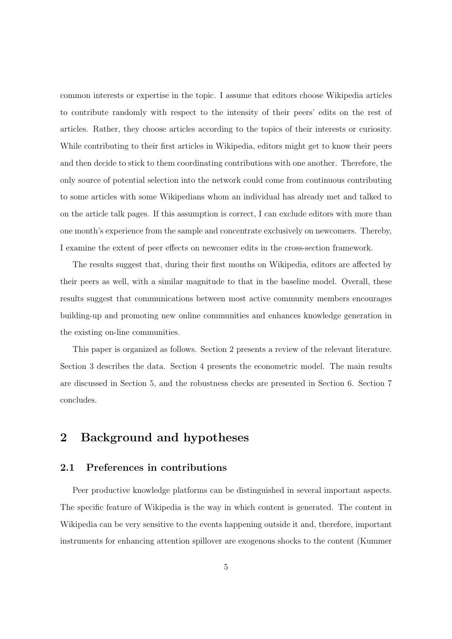common interests or expertise in the topic. I assume that editors choose Wikipedia articles to contribute randomly with respect to the intensity of their peers' edits on the rest of articles. Rather, they choose articles according to the topics of their interests or curiosity. While contributing to their first articles in Wikipedia, editors might get to know their peers and then decide to stick to them coordinating contributions with one another. Therefore, the only source of potential selection into the network could come from continuous contributing to some articles with some Wikipedians whom an individual has already met and talked to on the article talk pages. If this assumption is correct, I can exclude editors with more than one month's experience from the sample and concentrate exclusively on newcomers. Thereby, I examine the extent of peer effects on newcomer edits in the cross-section framework.

The results suggest that, during their first months on Wikipedia, editors are affected by their peers as well, with a similar magnitude to that in the baseline model. Overall, these results suggest that communications between most active community members encourages building-up and promoting new online communities and enhances knowledge generation in the existing on-line communities.

This paper is organized as follows. Section 2 presents a review of the relevant literature. Section 3 describes the data. Section 4 presents the econometric model. The main results are discussed in Section 5, and the robustness checks are presented in Section 6. Section 7 concludes.

# 2 Background and hypotheses

### 2.1 Preferences in contributions

Peer productive knowledge platforms can be distinguished in several important aspects. The specific feature of Wikipedia is the way in which content is generated. The content in Wikipedia can be very sensitive to the events happening outside it and, therefore, important instruments for enhancing attention spillover are exogenous shocks to the content (Kummer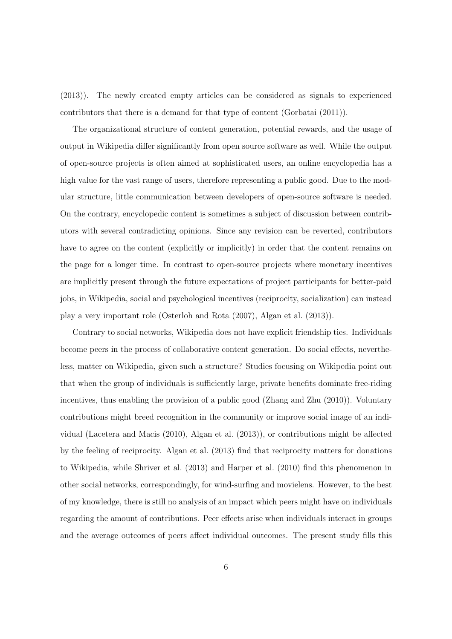(2013)). The newly created empty articles can be considered as signals to experienced contributors that there is a demand for that type of content (Gorbatai (2011)).

The organizational structure of content generation, potential rewards, and the usage of output in Wikipedia differ significantly from open source software as well. While the output of open-source projects is often aimed at sophisticated users, an online encyclopedia has a high value for the vast range of users, therefore representing a public good. Due to the modular structure, little communication between developers of open-source software is needed. On the contrary, encyclopedic content is sometimes a subject of discussion between contributors with several contradicting opinions. Since any revision can be reverted, contributors have to agree on the content (explicitly or implicitly) in order that the content remains on the page for a longer time. In contrast to open-source projects where monetary incentives are implicitly present through the future expectations of project participants for better-paid jobs, in Wikipedia, social and psychological incentives (reciprocity, socialization) can instead play a very important role (Osterloh and Rota (2007), Algan et al. (2013)).

Contrary to social networks, Wikipedia does not have explicit friendship ties. Individuals become peers in the process of collaborative content generation. Do social effects, nevertheless, matter on Wikipedia, given such a structure? Studies focusing on Wikipedia point out that when the group of individuals is sufficiently large, private benefits dominate free-riding incentives, thus enabling the provision of a public good (Zhang and Zhu (2010)). Voluntary contributions might breed recognition in the community or improve social image of an individual (Lacetera and Macis  $(2010)$ , Algan et al.  $(2013)$ ), or contributions might be affected by the feeling of reciprocity. Algan et al. (2013) find that reciprocity matters for donations to Wikipedia, while Shriver et al. (2013) and Harper et al. (2010) find this phenomenon in other social networks, correspondingly, for wind-surfing and movielens. However, to the best of my knowledge, there is still no analysis of an impact which peers might have on individuals regarding the amount of contributions. Peer effects arise when individuals interact in groups and the average outcomes of peers affect individual outcomes. The present study fills this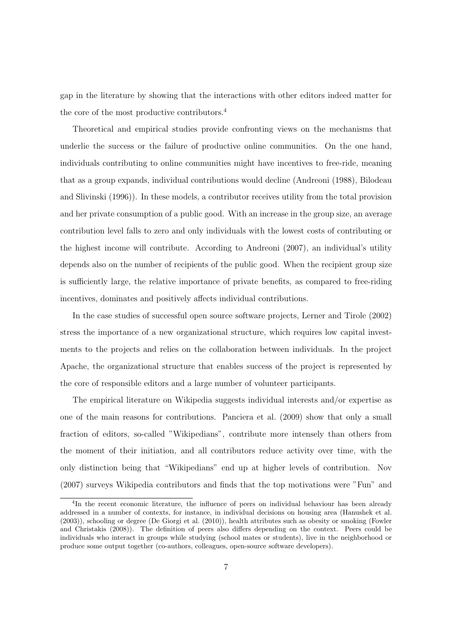gap in the literature by showing that the interactions with other editors indeed matter for the core of the most productive contributors.<sup>4</sup>

Theoretical and empirical studies provide confronting views on the mechanisms that underlie the success or the failure of productive online communities. On the one hand, individuals contributing to online communities might have incentives to free-ride, meaning that as a group expands, individual contributions would decline (Andreoni (1988), Bilodeau and Slivinski (1996)). In these models, a contributor receives utility from the total provision and her private consumption of a public good. With an increase in the group size, an average contribution level falls to zero and only individuals with the lowest costs of contributing or the highest income will contribute. According to Andreoni (2007), an individual's utility depends also on the number of recipients of the public good. When the recipient group size is sufficiently large, the relative importance of private benefits, as compared to free-riding incentives, dominates and positively affects individual contributions.

In the case studies of successful open source software projects, Lerner and Tirole (2002) stress the importance of a new organizational structure, which requires low capital investments to the projects and relies on the collaboration between individuals. In the project Apache, the organizational structure that enables success of the project is represented by the core of responsible editors and a large number of volunteer participants.

The empirical literature on Wikipedia suggests individual interests and/or expertise as one of the main reasons for contributions. Panciera et al. (2009) show that only a small fraction of editors, so-called "Wikipedians", contribute more intensely than others from the moment of their initiation, and all contributors reduce activity over time, with the only distinction being that "Wikipedians" end up at higher levels of contribution. Nov (2007) surveys Wikipedia contributors and finds that the top motivations were "Fun" and

<sup>4</sup>In the recent economic literature, the influence of peers on individual behaviour has been already addressed in a number of contexts, for instance, in individual decisions on housing area (Hanushek et al. (2003)), schooling or degree (De Giorgi et al. (2010)), health attributes such as obesity or smoking (Fowler and Christakis (2008)). The definition of peers also differs depending on the context. Peers could be individuals who interact in groups while studying (school mates or students), live in the neighborhood or produce some output together (co-authors, colleagues, open-source software developers).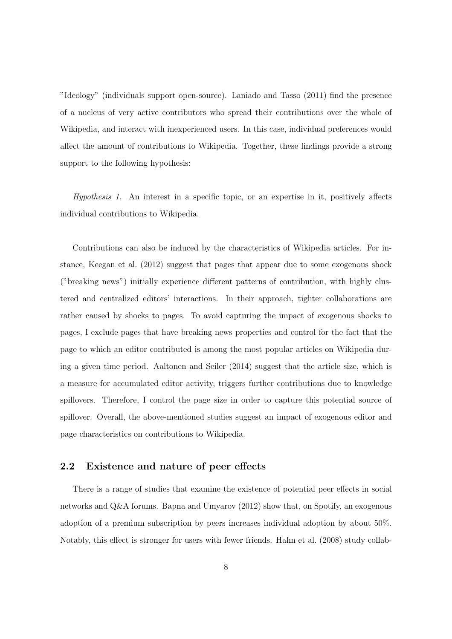"Ideology" (individuals support open-source). Laniado and Tasso (2011) find the presence of a nucleus of very active contributors who spread their contributions over the whole of Wikipedia, and interact with inexperienced users. In this case, individual preferences would affect the amount of contributions to Wikipedia. Together, these findings provide a strong support to the following hypothesis:

*Hypothesis 1.* An interest in a specific topic, or an expertise in it, positively affects individual contributions to Wikipedia.

Contributions can also be induced by the characteristics of Wikipedia articles. For instance, Keegan et al. (2012) suggest that pages that appear due to some exogenous shock ("breaking news") initially experience different patterns of contribution, with highly clustered and centralized editors' interactions. In their approach, tighter collaborations are rather caused by shocks to pages. To avoid capturing the impact of exogenous shocks to pages, I exclude pages that have breaking news properties and control for the fact that the page to which an editor contributed is among the most popular articles on Wikipedia during a given time period. Aaltonen and Seiler (2014) suggest that the article size, which is a measure for accumulated editor activity, triggers further contributions due to knowledge spillovers. Therefore, I control the page size in order to capture this potential source of spillover. Overall, the above-mentioned studies suggest an impact of exogenous editor and page characteristics on contributions to Wikipedia.

### 2.2 Existence and nature of peer effects

There is a range of studies that examine the existence of potential peer effects in social networks and Q&A forums. Bapna and Umyarov (2012) show that, on Spotify, an exogenous adoption of a premium subscription by peers increases individual adoption by about 50%. Notably, this effect is stronger for users with fewer friends. Hahn et al. (2008) study collab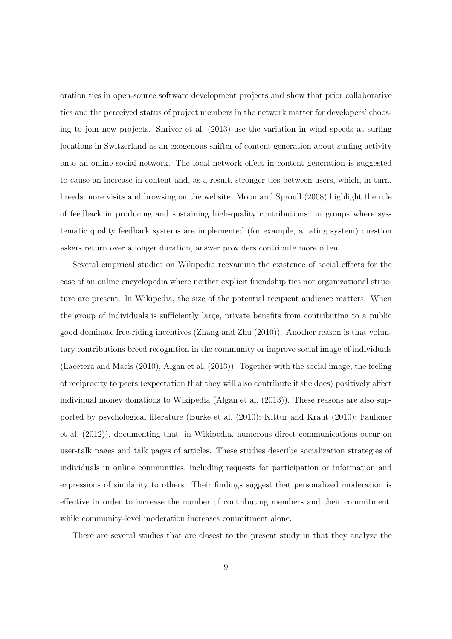oration ties in open-source software development projects and show that prior collaborative ties and the perceived status of project members in the network matter for developers' choosing to join new projects. Shriver et al. (2013) use the variation in wind speeds at surfing locations in Switzerland as an exogenous shifter of content generation about surfing activity onto an online social network. The local network effect in content generation is suggested to cause an increase in content and, as a result, stronger ties between users, which, in turn, breeds more visits and browsing on the website. Moon and Sproull (2008) highlight the role of feedback in producing and sustaining high-quality contributions: in groups where systematic quality feedback systems are implemented (for example, a rating system) question askers return over a longer duration, answer providers contribute more often.

Several empirical studies on Wikipedia reexamine the existence of social effects for the case of an online encyclopedia where neither explicit friendship ties nor organizational structure are present. In Wikipedia, the size of the potential recipient audience matters. When the group of individuals is sufficiently large, private benefits from contributing to a public good dominate free-riding incentives (Zhang and Zhu (2010)). Another reason is that voluntary contributions breed recognition in the community or improve social image of individuals (Lacetera and Macis (2010), Algan et al. (2013)). Together with the social image, the feeling of reciprocity to peers (expectation that they will also contribute if she does) positively a↵ect individual money donations to Wikipedia (Algan et al. (2013)). These reasons are also supported by psychological literature (Burke et al. (2010); Kittur and Kraut (2010); Faulkner et al. (2012)), documenting that, in Wikipedia, numerous direct communications occur on user-talk pages and talk pages of articles. These studies describe socialization strategies of individuals in online communities, including requests for participation or information and expressions of similarity to others. Their findings suggest that personalized moderation is effective in order to increase the number of contributing members and their commitment, while community-level moderation increases commitment alone.

There are several studies that are closest to the present study in that they analyze the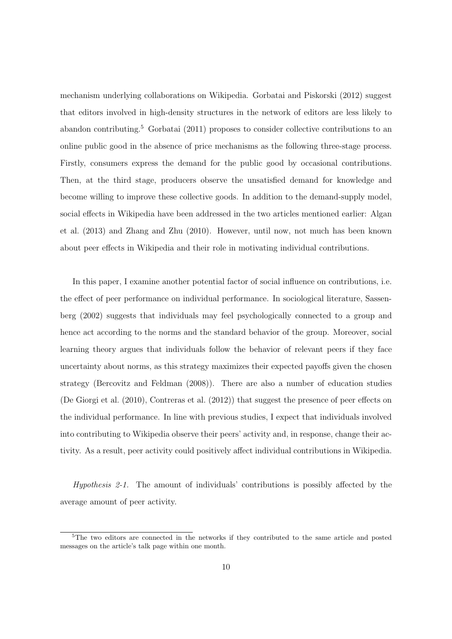mechanism underlying collaborations on Wikipedia. Gorbatai and Piskorski (2012) suggest that editors involved in high-density structures in the network of editors are less likely to abandon contributing.<sup>5</sup> Gorbatai (2011) proposes to consider collective contributions to an online public good in the absence of price mechanisms as the following three-stage process. Firstly, consumers express the demand for the public good by occasional contributions. Then, at the third stage, producers observe the unsatisfied demand for knowledge and become willing to improve these collective goods. In addition to the demand-supply model, social effects in Wikipedia have been addressed in the two articles mentioned earlier: Algan et al. (2013) and Zhang and Zhu (2010). However, until now, not much has been known about peer effects in Wikipedia and their role in motivating individual contributions.

In this paper, I examine another potential factor of social influence on contributions, i.e. the effect of peer performance on individual performance. In sociological literature, Sassenberg (2002) suggests that individuals may feel psychologically connected to a group and hence act according to the norms and the standard behavior of the group. Moreover, social learning theory argues that individuals follow the behavior of relevant peers if they face uncertainty about norms, as this strategy maximizes their expected payoffs given the chosen strategy (Bercovitz and Feldman (2008)). There are also a number of education studies (De Giorgi et al.  $(2010)$ , Contreras et al.  $(2012)$ ) that suggest the presence of peer effects on the individual performance. In line with previous studies, I expect that individuals involved into contributing to Wikipedia observe their peers' activity and, in response, change their activity. As a result, peer activity could positively a↵ect individual contributions in Wikipedia.

*Hypothesis 2-1.* The amount of individuals' contributions is possibly affected by the average amount of peer activity.

<sup>5</sup>The two editors are connected in the networks if they contributed to the same article and posted messages on the article's talk page within one month.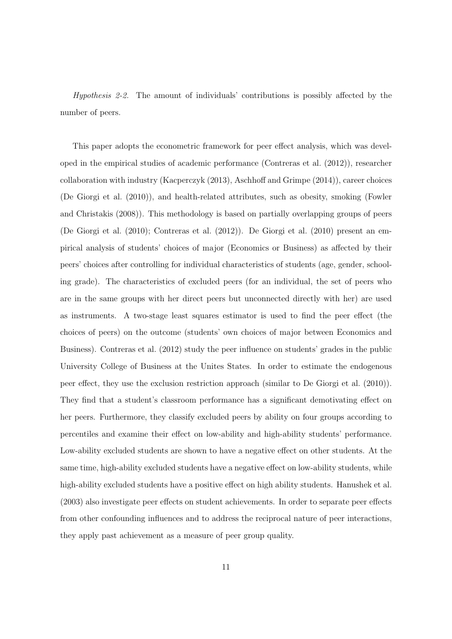*Hypothesis 2-2.* The amount of individuals' contributions is possibly affected by the number of peers.

This paper adopts the econometric framework for peer effect analysis, which was developed in the empirical studies of academic performance (Contreras et al. (2012)), researcher collaboration with industry (Kacperczyk  $(2013)$ , Aschhoff and Grimpe  $(2014)$ ), career choices (De Giorgi et al. (2010)), and health-related attributes, such as obesity, smoking (Fowler and Christakis (2008)). This methodology is based on partially overlapping groups of peers (De Giorgi et al. (2010); Contreras et al. (2012)). De Giorgi et al. (2010) present an empirical analysis of students' choices of major (Economics or Business) as affected by their peers' choices after controlling for individual characteristics of students (age, gender, schooling grade). The characteristics of excluded peers (for an individual, the set of peers who are in the same groups with her direct peers but unconnected directly with her) are used as instruments. A two-stage least squares estimator is used to find the peer effect (the choices of peers) on the outcome (students' own choices of major between Economics and Business). Contreras et al. (2012) study the peer influence on students' grades in the public University College of Business at the Unites States. In order to estimate the endogenous peer effect, they use the exclusion restriction approach (similar to De Giorgi et al.  $(2010)$ ). They find that a student's classroom performance has a significant demotivating effect on her peers. Furthermore, they classify excluded peers by ability on four groups according to percentiles and examine their effect on low-ability and high-ability students' performance. Low-ability excluded students are shown to have a negative effect on other students. At the same time, high-ability excluded students have a negative effect on low-ability students, while high-ability excluded students have a positive effect on high ability students. Hanushek et al.  $(2003)$  also investigate peer effects on student achievements. In order to separate peer effects from other confounding influences and to address the reciprocal nature of peer interactions, they apply past achievement as a measure of peer group quality.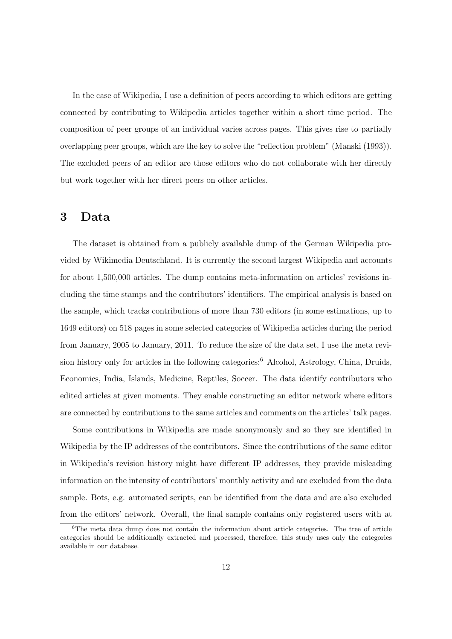In the case of Wikipedia, I use a definition of peers according to which editors are getting connected by contributing to Wikipedia articles together within a short time period. The composition of peer groups of an individual varies across pages. This gives rise to partially overlapping peer groups, which are the key to solve the "reflection problem" (Manski (1993)). The excluded peers of an editor are those editors who do not collaborate with her directly but work together with her direct peers on other articles.

## 3 Data

The dataset is obtained from a publicly available dump of the German Wikipedia provided by Wikimedia Deutschland. It is currently the second largest Wikipedia and accounts for about 1,500,000 articles. The dump contains meta-information on articles' revisions including the time stamps and the contributors' identifiers. The empirical analysis is based on the sample, which tracks contributions of more than 730 editors (in some estimations, up to 1649 editors) on 518 pages in some selected categories of Wikipedia articles during the period from January, 2005 to January, 2011. To reduce the size of the data set, I use the meta revision history only for articles in the following categories:<sup>6</sup> Alcohol, Astrology, China, Druids, Economics, India, Islands, Medicine, Reptiles, Soccer. The data identify contributors who edited articles at given moments. They enable constructing an editor network where editors are connected by contributions to the same articles and comments on the articles' talk pages.

Some contributions in Wikipedia are made anonymously and so they are identified in Wikipedia by the IP addresses of the contributors. Since the contributions of the same editor in Wikipedia's revision history might have different IP addresses, they provide misleading information on the intensity of contributors' monthly activity and are excluded from the data sample. Bots, e.g. automated scripts, can be identified from the data and are also excluded from the editors' network. Overall, the final sample contains only registered users with at

 $6$ The meta data dump does not contain the information about article categories. The tree of article categories should be additionally extracted and processed, therefore, this study uses only the categories available in our database.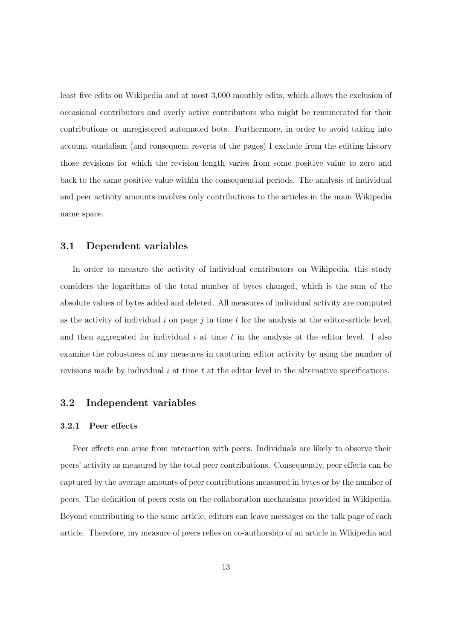least five edits on Wikipedia and at most 3,000 monthly edits, which allows the exclusion of occasional contributors and overly active contributors who might be remunerated for their contributions or unregistered automated bots. Furthermore, in order to avoid taking into account vandalism (and consequent reverts of the pages) I exclude from the editing history those revisions for which the revision length varies from some positive value to zero and back to the same positive value within the consequential periods. The analysis of individual and peer activity amounts involves only contributions to the articles in the main Wikipedia name space.

### 3.1 Dependent variables

In order to measure the activity of individual contributors on Wikipedia, this study considers the logarithms of the total number of bytes changed, which is the sum of the absolute values of bytes added and deleted. All measures of individual activity are computed as the activity of individual  $i$  on page  $j$  in time  $t$  for the analysis at the editor-article level, and then aggregated for individual  $i$  at time  $t$  in the analysis at the editor level. I also examine the robustness of my measures in capturing editor activity by using the number of revisions made by individual *i* at time *t* at the editor level in the alternative specifications.

## 3.2 Independent variables

#### 3.2.1 Peer effects

Peer effects can arise from interaction with peers. Individuals are likely to observe their peers' activity as measured by the total peer contributions. Consequently, peer effects can be captured by the average amounts of peer contributions measured in bytes or by the number of peers. The definition of peers rests on the collaboration mechanisms provided in Wikipedia. Beyond contributing to the same article, editors can leave messages on the talk page of each article. Therefore, my measure of peers relies on co-authorship of an article in Wikipedia and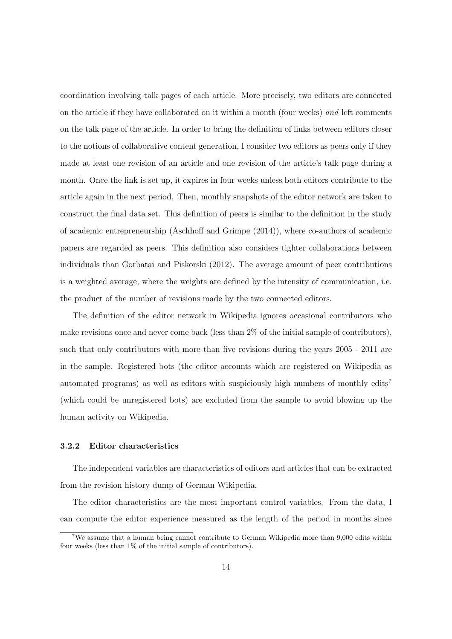coordination involving talk pages of each article. More precisely, two editors are connected on the article if they have collaborated on it within a month (four weeks) *and* left comments on the talk page of the article. In order to bring the definition of links between editors closer to the notions of collaborative content generation, I consider two editors as peers only if they made at least one revision of an article and one revision of the article's talk page during a month. Once the link is set up, it expires in four weeks unless both editors contribute to the article again in the next period. Then, monthly snapshots of the editor network are taken to construct the final data set. This definition of peers is similar to the definition in the study of academic entrepreneurship (Aschhoff and Grimpe (2014)), where co-authors of academic papers are regarded as peers. This definition also considers tighter collaborations between individuals than Gorbatai and Piskorski (2012). The average amount of peer contributions is a weighted average, where the weights are defined by the intensity of communication, i.e. the product of the number of revisions made by the two connected editors.

The definition of the editor network in Wikipedia ignores occasional contributors who make revisions once and never come back (less than 2% of the initial sample of contributors), such that only contributors with more than five revisions during the years 2005 - 2011 are in the sample. Registered bots (the editor accounts which are registered on Wikipedia as automated programs) as well as editors with suspiciously high numbers of monthly edits<sup>7</sup> (which could be unregistered bots) are excluded from the sample to avoid blowing up the human activity on Wikipedia.

#### 3.2.2 Editor characteristics

The independent variables are characteristics of editors and articles that can be extracted from the revision history dump of German Wikipedia.

The editor characteristics are the most important control variables. From the data, I can compute the editor experience measured as the length of the period in months since

<sup>7</sup>We assume that a human being cannot contribute to German Wikipedia more than 9,000 edits within four weeks (less than 1% of the initial sample of contributors).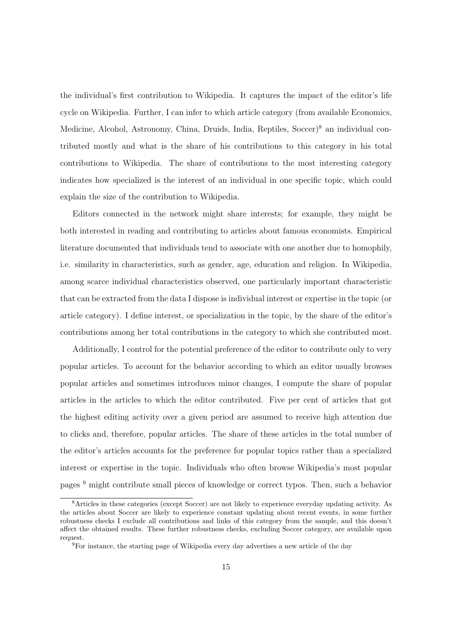the individual's first contribution to Wikipedia. It captures the impact of the editor's life cycle on Wikipedia. Further, I can infer to which article category (from available Economics, Medicine, Alcohol, Astronomy, China, Druids, India, Reptiles, Soccer)<sup>8</sup> an individual contributed mostly and what is the share of his contributions to this category in his total contributions to Wikipedia. The share of contributions to the most interesting category indicates how specialized is the interest of an individual in one specific topic, which could explain the size of the contribution to Wikipedia.

Editors connected in the network might share interests; for example, they might be both interested in reading and contributing to articles about famous economists. Empirical literature documented that individuals tend to associate with one another due to homophily, i.e. similarity in characteristics, such as gender, age, education and religion. In Wikipedia, among scarce individual characteristics observed, one particularly important characteristic that can be extracted from the data I dispose is individual interest or expertise in the topic (or article category). I define interest, or specialization in the topic, by the share of the editor's contributions among her total contributions in the category to which she contributed most.

Additionally, I control for the potential preference of the editor to contribute only to very popular articles. To account for the behavior according to which an editor usually browses popular articles and sometimes introduces minor changes, I compute the share of popular articles in the articles to which the editor contributed. Five per cent of articles that got the highest editing activity over a given period are assumed to receive high attention due to clicks and, therefore, popular articles. The share of these articles in the total number of the editor's articles accounts for the preference for popular topics rather than a specialized interest or expertise in the topic. Individuals who often browse Wikipedia's most popular pages <sup>9</sup> might contribute small pieces of knowledge or correct typos. Then, such a behavior

<sup>8</sup>Articles in these categories (except Soccer) are not likely to experience everyday updating activity. As the articles about Soccer are likely to experience constant updating about recent events, in some further robustness checks I exclude all contributions and links of this category from the sample, and this doesn't affect the obtained results. These further robustness checks, excluding Soccer category, are available upon request.

<sup>9</sup>For instance, the starting page of Wikipedia every day advertises a new article of the day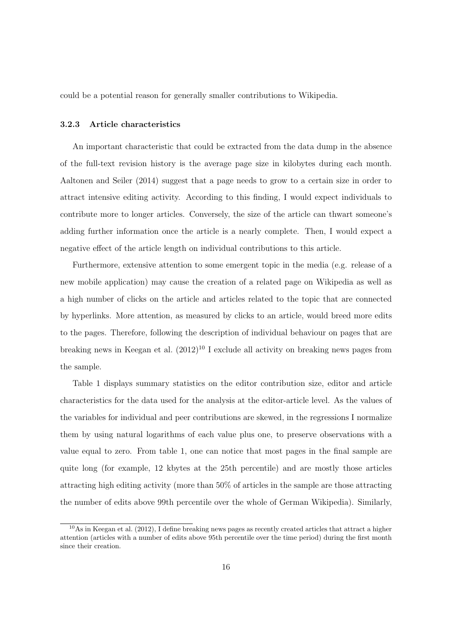could be a potential reason for generally smaller contributions to Wikipedia.

#### 3.2.3 Article characteristics

An important characteristic that could be extracted from the data dump in the absence of the full-text revision history is the average page size in kilobytes during each month. Aaltonen and Seiler (2014) suggest that a page needs to grow to a certain size in order to attract intensive editing activity. According to this finding, I would expect individuals to contribute more to longer articles. Conversely, the size of the article can thwart someone's adding further information once the article is a nearly complete. Then, I would expect a negative effect of the article length on individual contributions to this article.

Furthermore, extensive attention to some emergent topic in the media (e.g. release of a new mobile application) may cause the creation of a related page on Wikipedia as well as a high number of clicks on the article and articles related to the topic that are connected by hyperlinks. More attention, as measured by clicks to an article, would breed more edits to the pages. Therefore, following the description of individual behaviour on pages that are breaking news in Keegan et al.  $(2012)^{10}$  I exclude all activity on breaking news pages from the sample.

Table 1 displays summary statistics on the editor contribution size, editor and article characteristics for the data used for the analysis at the editor-article level. As the values of the variables for individual and peer contributions are skewed, in the regressions I normalize them by using natural logarithms of each value plus one, to preserve observations with a value equal to zero. From table 1, one can notice that most pages in the final sample are quite long (for example, 12 kbytes at the 25th percentile) and are mostly those articles attracting high editing activity (more than 50% of articles in the sample are those attracting the number of edits above 99th percentile over the whole of German Wikipedia). Similarly,

<sup>&</sup>lt;sup>10</sup>As in Keegan et al. (2012), I define breaking news pages as recently created articles that attract a higher attention (articles with a number of edits above 95th percentile over the time period) during the first month since their creation.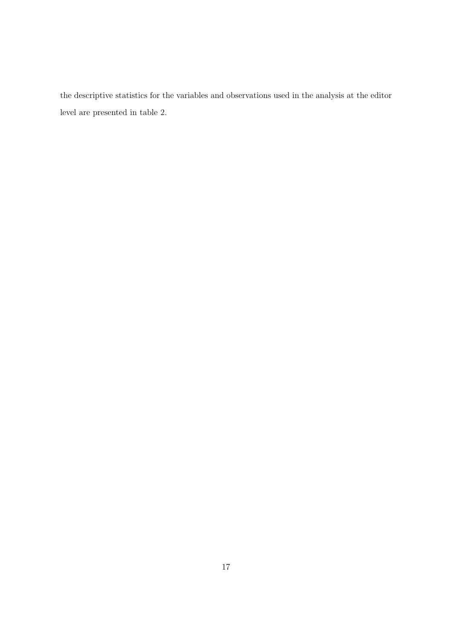the descriptive statistics for the variables and observations used in the analysis at the editor level are presented in table 2.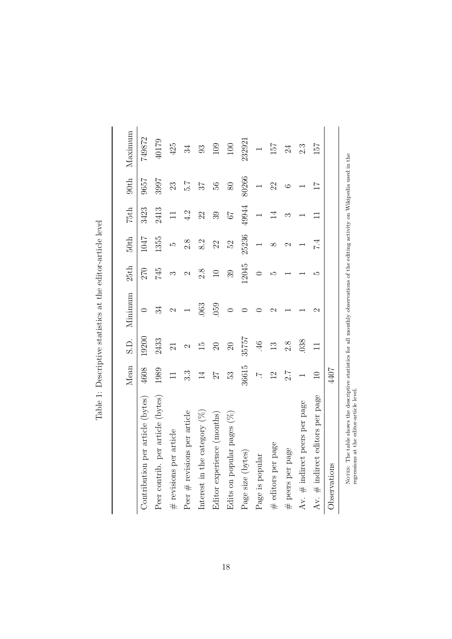|                                   | Mean                     | S.D.            | Minimum       | 25th   | 50th  | 75th   | 90 <sup>th</sup> | Maximum          |
|-----------------------------------|--------------------------|-----------------|---------------|--------|-------|--------|------------------|------------------|
| Contribution per article (bytes)  | 4608                     | 19200           | $\circ$       | 270    | 1047  | 3423   | 9657             | 749872           |
| Peer contrib. per article (bytes) | 1989                     | 2433            | 34            | 745    | 1355  | 2413   | 3997             | 40179            |
| $#$ revisions per article         | $\Box$                   | $\overline{21}$ | $\mathcal{C}$ | ౧      | LΩ    | $\Box$ | 23               | 425              |
| Peer $#$ revisions per article    | 3.3                      | $\mathcal{C}$   |               | 2      | 2.8   | 4.2    | 7.G              | 34               |
| Interest in the category $(\%)$   | $\overline{14}$          | $\overline{1}$  | 063           | 2.8    | 8.2   | 22     | 27               | 93               |
| Editor experience (months)        | 27                       | $\Omega$        | 059           | $\Box$ | 22    | 39     | 56               | 109              |
| Edits on popular pages $(\%)$     | 33                       | $\Omega$        | $\circ$       | 39     | 52    | 79     | 80               | 100              |
| Page size (bytes)                 | 36615                    | 35757           |               | 12045  | 25236 | 49944  | 80266            | 232921           |
| Page is popular                   | $\overline{\phantom{a}}$ | 46              |               | 0      |       |        |                  |                  |
| # editors per page                | $\overline{2}$           | $\frac{3}{2}$   | N             | ω      | ∞     | 14     | 22               | 157              |
| # peers per page                  | 7.2                      | 2.8             |               |        | 2     | ∽      | ం                | 24               |
| Av. # indirect peers per page     |                          | 038             |               |        |       |        |                  | $2.\overline{3}$ |
| Av. $#$ indirect editors per page | $\Box$                   | $\Box$          | $\mathcal{C}$ | ŗΩ     | 7.4   | $\Box$ | 11               | 157              |
| Observations                      | 4407                     |                 |               |        |       |        |                  |                  |

Table 1: Descriptive statistics at the editor-article level Table 1: Descriptive statistics at the editor-article level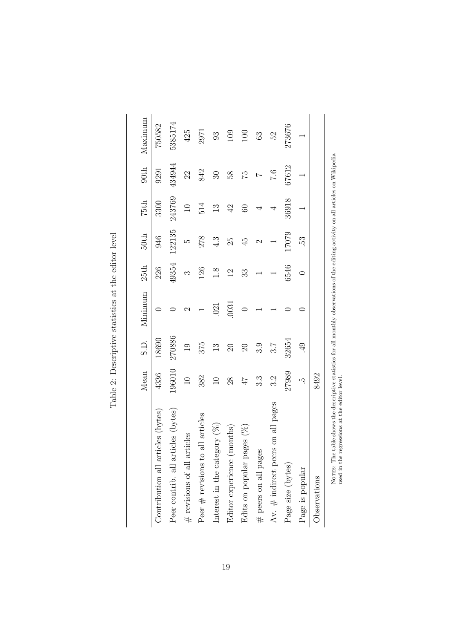|                                                                                                                                                                                             | Mean            | S.D.     | Minimum        | 25th           | 50th   | 75th            | 90th          | Maximum |
|---------------------------------------------------------------------------------------------------------------------------------------------------------------------------------------------|-----------------|----------|----------------|----------------|--------|-----------------|---------------|---------|
| cles (bytes)<br>Contribution all arti                                                                                                                                                       | 4336            | 18690    |                | 226            | 946    | 3300            | 9291          | 750582  |
| icles (bytes)<br>Peer contrib. all arti                                                                                                                                                     | 196010          | 270886   |                | 49354          | 122135 | 243769          | 434944        | 5385174 |
| $\#$ revisions of all articles                                                                                                                                                              | $\overline{10}$ | 19       | $\mathfrak{g}$ | S              | S      | 10              | 22            | 425     |
| all articles<br>Peer $#$ revisions to                                                                                                                                                       | 382             | 375      |                | 126            | 278    | 514             | 842           | 2971    |
| Interest in the category $(\%)$                                                                                                                                                             | $\Box$          | 13       | .021           | 1.8            | 4.3    | 13              | $\mathcal{S}$ | 93      |
| Editor experience (months)                                                                                                                                                                  | 28              | $\Omega$ | 0031           | $\overline{2}$ | 25     | $\overline{42}$ | 58            | 109     |
| Edits on popular pages $(\%)$                                                                                                                                                               | $4\,\hbar$      | $\Omega$ |                | 33             | 45     | 3               | 52            | 100     |
| $#$ peers on all pages                                                                                                                                                                      | 3.3             | 3.9      |                |                | 2      | 4               |               | 63      |
| on all pages<br>Av. $\#$ indirect peers                                                                                                                                                     | 3.2             | 3.7      |                |                |        | 4               | 0.7           | 52      |
| Page size (bytes)                                                                                                                                                                           | 27989           | 32654    |                | 6546           | 17079  | 36918           | 67612         | 273676  |
| Page is popular                                                                                                                                                                             | ŗ.              | 49       |                |                | 53.    |                 |               |         |
| Observations                                                                                                                                                                                | 8492            |          |                |                |        |                 |               |         |
| able shows the descriptive statistics for all monthly observations of the editing activity on all articles on Wikipedia.<br>gressions at the editor level<br>NOTES: The t<br>used in the re |                 |          |                |                |        |                 |               |         |

Table 2: Descriptive statistics at the editor level Table 2: Descriptive statistics at the editor level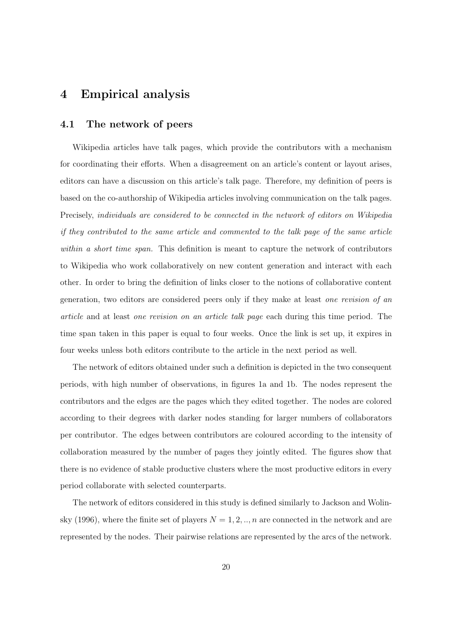# 4 Empirical analysis

### 4.1 The network of peers

Wikipedia articles have talk pages, which provide the contributors with a mechanism for coordinating their efforts. When a disagreement on an article's content or layout arises, editors can have a discussion on this article's talk page. Therefore, my definition of peers is based on the co-authorship of Wikipedia articles involving communication on the talk pages. Precisely, *individuals are considered to be connected in the network of editors on Wikipedia if they contributed to the same article and commented to the talk page of the same article within a short time span.* This definition is meant to capture the network of contributors to Wikipedia who work collaboratively on new content generation and interact with each other. In order to bring the definition of links closer to the notions of collaborative content generation, two editors are considered peers only if they make at least *one revision of an article* and at least *one revision on an article talk page* each during this time period. The time span taken in this paper is equal to four weeks. Once the link is set up, it expires in four weeks unless both editors contribute to the article in the next period as well.

The network of editors obtained under such a definition is depicted in the two consequent periods, with high number of observations, in figures 1a and 1b. The nodes represent the contributors and the edges are the pages which they edited together. The nodes are colored according to their degrees with darker nodes standing for larger numbers of collaborators per contributor. The edges between contributors are coloured according to the intensity of collaboration measured by the number of pages they jointly edited. The figures show that there is no evidence of stable productive clusters where the most productive editors in every period collaborate with selected counterparts.

The network of editors considered in this study is defined similarly to Jackson and Wolinsky (1996), where the finite set of players  $N = 1, 2, \ldots, n$  are connected in the network and are represented by the nodes. Their pairwise relations are represented by the arcs of the network.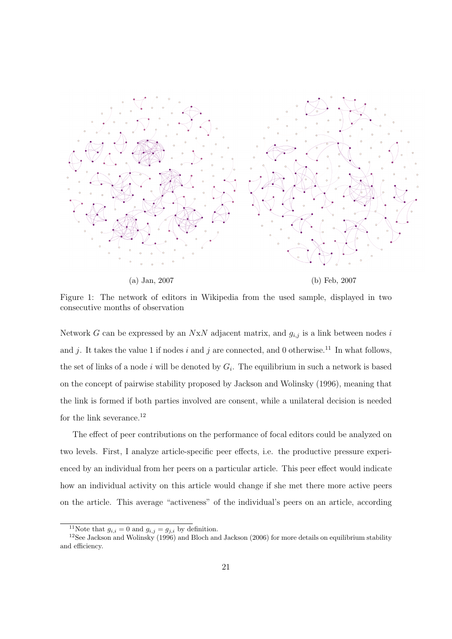

(a) Jan, 2007 (b) Feb, 2007

Figure 1: The network of editors in Wikipedia from the used sample, displayed in two consecutive months of observation

Network *G* can be expressed by an *N*x*N* adjacent matrix, and *gi,j* is a link between nodes *i* and  $j$ . It takes the value 1 if nodes  $i$  and  $j$  are connected, and 0 otherwise.<sup>11</sup> In what follows, the set of links of a node  $i$  will be denoted by  $G_i$ . The equilibrium in such a network is based on the concept of pairwise stability proposed by Jackson and Wolinsky (1996), meaning that the link is formed if both parties involved are consent, while a unilateral decision is needed for the link severance.<sup>12</sup>

The effect of peer contributions on the performance of focal editors could be analyzed on two levels. First, I analyze article-specific peer effects, i.e. the productive pressure experienced by an individual from her peers on a particular article. This peer effect would indicate how an individual activity on this article would change if she met there more active peers on the article. This average "activeness" of the individual's peers on an article, according

<sup>&</sup>lt;sup>11</sup>Note that  $g_{i,i} = 0$  and  $g_{i,j} = g_{j,i}$  by definition.<br><sup>12</sup>See Jackson and Wolinsky (1996) and Bloch and Jackson (2006) for more details on equilibrium stability and efficiency.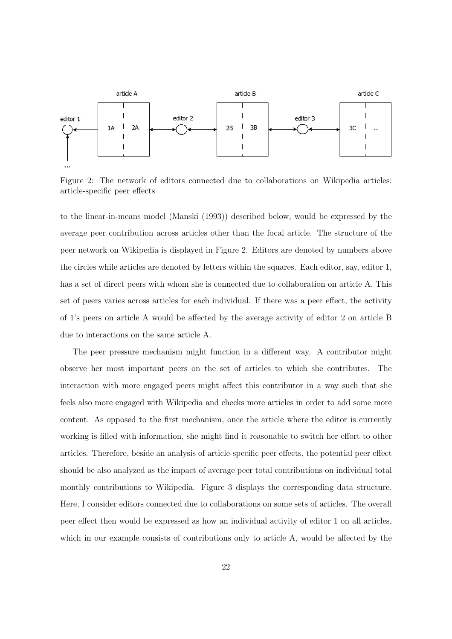

Figure 2: The network of editors connected due to collaborations on Wikipedia articles: article-specific peer effects

to the linear-in-means model (Manski (1993)) described below, would be expressed by the average peer contribution across articles other than the focal article. The structure of the peer network on Wikipedia is displayed in Figure 2. Editors are denoted by numbers above the circles while articles are denoted by letters within the squares. Each editor, say, editor 1, has a set of direct peers with whom she is connected due to collaboration on article A. This set of peers varies across articles for each individual. If there was a peer effect, the activity of 1's peers on article A would be a↵ected by the average activity of editor 2 on article B due to interactions on the same article A.

The peer pressure mechanism might function in a different way. A contributor might observe her most important peers on the set of articles to which she contributes. The interaction with more engaged peers might affect this contributor in a way such that she feels also more engaged with Wikipedia and checks more articles in order to add some more content. As opposed to the first mechanism, once the article where the editor is currently working is filled with information, she might find it reasonable to switch her effort to other articles. Therefore, beside an analysis of article-specific peer effects, the potential peer effect should be also analyzed as the impact of average peer total contributions on individual total monthly contributions to Wikipedia. Figure 3 displays the corresponding data structure. Here, I consider editors connected due to collaborations on some sets of articles. The overall peer effect then would be expressed as how an individual activity of editor 1 on all articles, which in our example consists of contributions only to article  $A$ , would be affected by the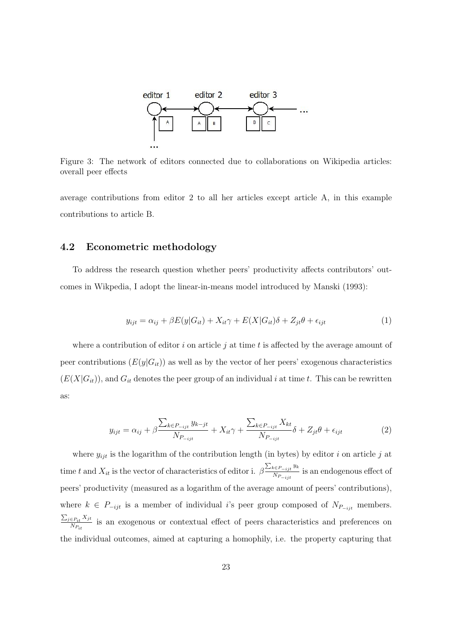

Figure 3: The network of editors connected due to collaborations on Wikipedia articles: overall peer effects

average contributions from editor 2 to all her articles except article A, in this example contributions to article B.

### 4.2 Econometric methodology

To address the research question whether peers' productivity affects contributors' outcomes in Wikpedia, I adopt the linear-in-means model introduced by Manski (1993):

$$
y_{ijt} = \alpha_{ij} + \beta E(y|G_{it}) + X_{it}\gamma + E(X|G_{it})\delta + Z_{jt}\theta + \epsilon_{ijt}
$$
\n<sup>(1)</sup>

where a contribution of editor  $i$  on article  $j$  at time  $t$  is affected by the average amount of peer contributions  $(E(y|G_i))$  as well as by the vector of her peers' exogenous characteristics  $(E(X|G_i))$ , and  $G_i$  denotes the peer group of an individual *i* at time *t*. This can be rewritten as:

$$
y_{ijt} = \alpha_{ij} + \beta \frac{\sum_{k \in P_{-ijt}} y_{k-jt}}{N_{P_{-ijt}}} + X_{it}\gamma + \frac{\sum_{k \in P_{-ijt}} X_{kt}}{N_{P_{-ijt}}} \delta + Z_{jt}\theta + \epsilon_{ijt}
$$
(2)

where  $y_{ijt}$  is the logarithm of the contribution length (in bytes) by editor *i* on article *j* at time *t* and  $X_{it}$  is the vector of characteristics of editor i.  $\beta \frac{\sum_{k \in P_{-ijt}} y_k}{N_P}$  $\frac{\sum_{i=1}^{n} f(i)}{N_{P_{-ijt}}}$  is an endogenous effect of peers' productivity (measured as a logarithm of the average amount of peers' contributions), where  $k \in P_{-ijt}$  is a member of individual *i*'s peer group composed of  $N_{P_{-ijt}}$  members.  $\sum_{j \in P_{it}} X_{jt}$  $\frac{E_{it} p_{it}}{N_{P_{it}}}$  is an exogenous or contextual effect of peers characteristics and preferences on the individual outcomes, aimed at capturing a homophily, i.e. the property capturing that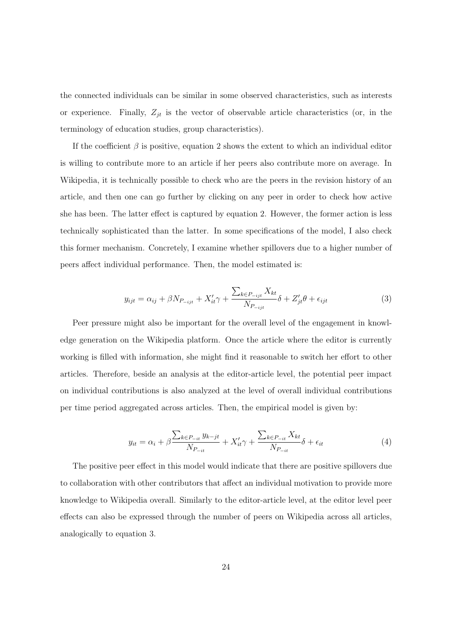the connected individuals can be similar in some observed characteristics, such as interests or experience. Finally,  $Z_{jt}$  is the vector of observable article characteristics (or, in the terminology of education studies, group characteristics).

If the coefficient  $\beta$  is positive, equation 2 shows the extent to which an individual editor is willing to contribute more to an article if her peers also contribute more on average. In Wikipedia, it is technically possible to check who are the peers in the revision history of an article, and then one can go further by clicking on any peer in order to check how active she has been. The latter effect is captured by equation 2. However, the former action is less technically sophisticated than the latter. In some specifications of the model, I also check this former mechanism. Concretely, I examine whether spillovers due to a higher number of peers affect individual performance. Then, the model estimated is:

$$
y_{ijt} = \alpha_{ij} + \beta N_{P_{-ijt}} + X_{it}'\gamma + \frac{\sum_{k \in P_{-ijt}} X_{kt}}{N_{P_{-ijt}}} \delta + Z_{jt}'\theta + \epsilon_{ijt}
$$
(3)

Peer pressure might also be important for the overall level of the engagement in knowledge generation on the Wikipedia platform. Once the article where the editor is currently working is filled with information, she might find it reasonable to switch her effort to other articles. Therefore, beside an analysis at the editor-article level, the potential peer impact on individual contributions is also analyzed at the level of overall individual contributions per time period aggregated across articles. Then, the empirical model is given by:

$$
y_{it} = \alpha_i + \beta \frac{\sum_{k \in P_{-it}} y_{k-jt}}{N_{P_{-it}}} + X'_{it}\gamma + \frac{\sum_{k \in P_{-it}} X_{kt}}{N_{P_{-it}}} \delta + \epsilon_{it}
$$
(4)

The positive peer effect in this model would indicate that there are positive spillovers due to collaboration with other contributors that affect an individual motivation to provide more knowledge to Wikipedia overall. Similarly to the editor-article level, at the editor level peer effects can also be expressed through the number of peers on Wikipedia across all articles, analogically to equation 3.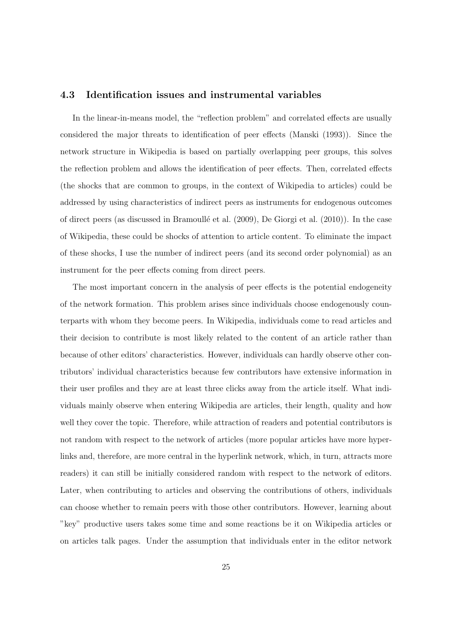### 4.3 Identification issues and instrumental variables

In the linear-in-means model, the "reflection problem" and correlated effects are usually considered the major threats to identification of peer effects (Manski (1993)). Since the network structure in Wikipedia is based on partially overlapping peer groups, this solves the reflection problem and allows the identification of peer effects. Then, correlated effects (the shocks that are common to groups, in the context of Wikipedia to articles) could be addressed by using characteristics of indirect peers as instruments for endogenous outcomes of direct peers (as discussed in Bramoullé et al. (2009), De Giorgi et al. (2010)). In the case of Wikipedia, these could be shocks of attention to article content. To eliminate the impact of these shocks, I use the number of indirect peers (and its second order polynomial) as an instrument for the peer effects coming from direct peers.

The most important concern in the analysis of peer effects is the potential endogeneity of the network formation. This problem arises since individuals choose endogenously counterparts with whom they become peers. In Wikipedia, individuals come to read articles and their decision to contribute is most likely related to the content of an article rather than because of other editors' characteristics. However, individuals can hardly observe other contributors' individual characteristics because few contributors have extensive information in their user profiles and they are at least three clicks away from the article itself. What individuals mainly observe when entering Wikipedia are articles, their length, quality and how well they cover the topic. Therefore, while attraction of readers and potential contributors is not random with respect to the network of articles (more popular articles have more hyperlinks and, therefore, are more central in the hyperlink network, which, in turn, attracts more readers) it can still be initially considered random with respect to the network of editors. Later, when contributing to articles and observing the contributions of others, individuals can choose whether to remain peers with those other contributors. However, learning about "key" productive users takes some time and some reactions be it on Wikipedia articles or on articles talk pages. Under the assumption that individuals enter in the editor network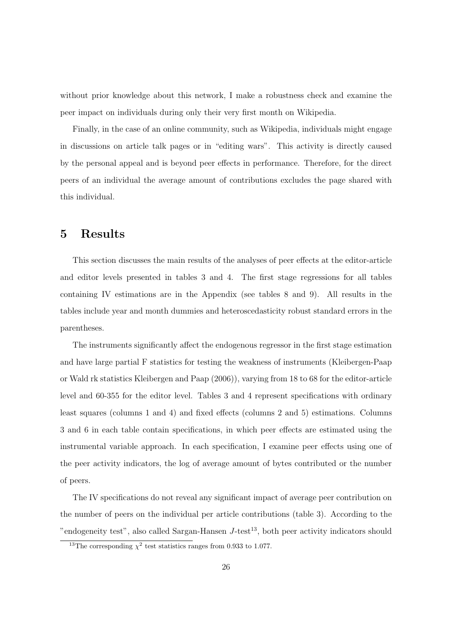without prior knowledge about this network, I make a robustness check and examine the peer impact on individuals during only their very first month on Wikipedia.

Finally, in the case of an online community, such as Wikipedia, individuals might engage in discussions on article talk pages or in "editing wars". This activity is directly caused by the personal appeal and is beyond peer effects in performance. Therefore, for the direct peers of an individual the average amount of contributions excludes the page shared with this individual.

# 5 Results

This section discusses the main results of the analyses of peer effects at the editor-article and editor levels presented in tables 3 and 4. The first stage regressions for all tables containing IV estimations are in the Appendix (see tables 8 and 9). All results in the tables include year and month dummies and heteroscedasticity robust standard errors in the parentheses.

The instruments significantly affect the endogenous regressor in the first stage estimation and have large partial F statistics for testing the weakness of instruments (Kleibergen-Paap or Wald rk statistics Kleibergen and Paap (2006)), varying from 18 to 68 for the editor-article level and 60-355 for the editor level. Tables 3 and 4 represent specifications with ordinary least squares (columns 1 and 4) and fixed effects (columns 2 and 5) estimations. Columns 3 and 6 in each table contain specifications, in which peer effects are estimated using the instrumental variable approach. In each specification, I examine peer effects using one of the peer activity indicators, the log of average amount of bytes contributed or the number of peers.

The IV specifications do not reveal any significant impact of average peer contribution on the number of peers on the individual per article contributions (table 3). According to the "endogeneity test", also called Sargan-Hansen  $J$ -test<sup>13</sup>, both peer activity indicators should

<sup>&</sup>lt;sup>13</sup>The corresponding  $\chi^2$  test statistics ranges from 0.933 to 1.077.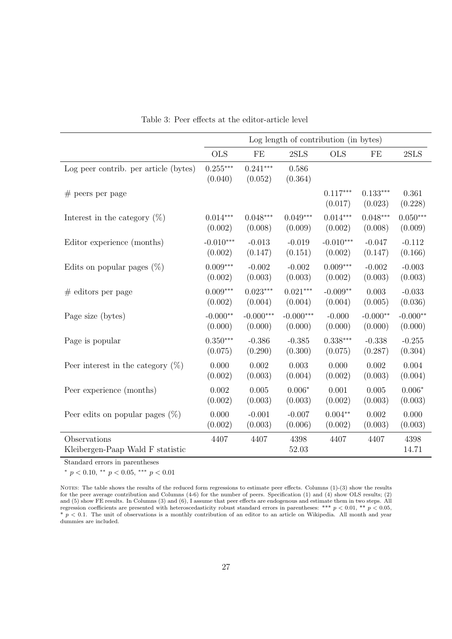|                                                  |                       |                       | Log length of contribution (in bytes) |                       |                       |                  |
|--------------------------------------------------|-----------------------|-----------------------|---------------------------------------|-----------------------|-----------------------|------------------|
|                                                  | <b>OLS</b>            | FE                    | 2SLS                                  | <b>OLS</b>            | FE                    | 2SLS             |
| Log peer contrib. per article (bytes)            | $0.255***$<br>(0.040) | $0.241***$<br>(0.052) | 0.586<br>(0.364)                      |                       |                       |                  |
| $#$ peers per page                               |                       |                       |                                       | $0.117***$<br>(0.017) | $0.133***$<br>(0.023) | 0.361<br>(0.228) |
| Interest in the category $(\%)$                  | $0.014***$            | $0.048***$            | $0.049***$                            | $0.014***$            | $0.048***$            | $0.050***$       |
|                                                  | (0.002)               | (0.008)               | (0.009)                               | (0.002)               | (0.008)               | (0.009)          |
| Editor experience (months)                       | $-0.010***$           | $-0.013$              | $-0.019$                              | $-0.010***$           | $-0.047$              | $-0.112$         |
|                                                  | (0.002)               | (0.147)               | (0.151)                               | (0.002)               | (0.147)               | (0.166)          |
| Edits on popular pages $(\%)$                    | $0.009***$            | $-0.002$              | $-0.002$                              | $0.009***$            | $-0.002$              | $-0.003$         |
|                                                  | (0.002)               | (0.003)               | (0.003)                               | (0.002)               | (0.003)               | (0.003)          |
| $#$ editors per page                             | $0.009***$            | $0.023***$            | $0.021***$                            | $-0.009**$            | 0.003                 | $-0.033$         |
|                                                  | (0.002)               | (0.004)               | (0.004)                               | (0.004)               | (0.005)               | (0.036)          |
| Page size (bytes)                                | $-0.000**$            | $-0.000***$           | $-0.000***$                           | $-0.000$              | $-0.000**$            | $-0.000**$       |
|                                                  | (0.000)               | (0.000)               | (0.000)                               | (0.000)               | (0.000)               | (0.000)          |
| Page is popular                                  | $0.350***$            | $-0.386$              | $-0.385$                              | $0.338***$            | $-0.338$              | $-0.255$         |
|                                                  | (0.075)               | (0.290)               | (0.300)                               | (0.075)               | (0.287)               | (0.304)          |
| Peer interest in the category $(\%)$             | 0.000                 | 0.002                 | 0.003                                 | 0.000                 | 0.002                 | 0.004            |
|                                                  | (0.002)               | (0.003)               | (0.004)                               | (0.002)               | (0.003)               | (0.004)          |
| Peer experience (months)                         | 0.002                 | 0.005                 | $0.006*$                              | 0.001                 | 0.005                 | $0.006*$         |
|                                                  | (0.002)               | (0.003)               | (0.003)                               | (0.002)               | (0.003)               | (0.003)          |
| Peer edits on popular pages $(\%)$               | 0.000                 | $-0.001$              | $-0.007$                              | $0.004**$             | 0.002                 | 0.000            |
|                                                  | (0.002)               | (0.003)               | (0.006)                               | (0.002)               | (0.003)               | (0.003)          |
| Observations<br>Kleibergen-Paap Wald F statistic | 4407                  | 4407                  | 4398<br>52.03                         | 4407                  | 4407                  | 4398<br>14.71    |

Table 3: Peer effects at the editor-article level

 $*$   $p$  < 0.10,  $**$   $p$  < 0.05, \*\*\*  $p$  < 0.01

NOTES: The table shows the results of the reduced form regressions to estimate peer effects. Columns  $(1)-(3)$  show the results for the peer average contribution and Columns (4-6) for the number of peers. Specification (1) and (4) show OLS results; (2) and  $(5)$  show FE results. In Columns  $(3)$  and  $(6)$ , I assume that peer effects are endogenous and estimate them in two steps. All regression coefficients are presented with heteroscedasticity robust standard errors in parentheses: \*\*\*  $p < 0.01$ , \*\*  $p < 0.05$ , \* *p <* 0*.*1. The unit of observations is a monthly contribution of an editor to an article on Wikipedia. All month and year dummies are included.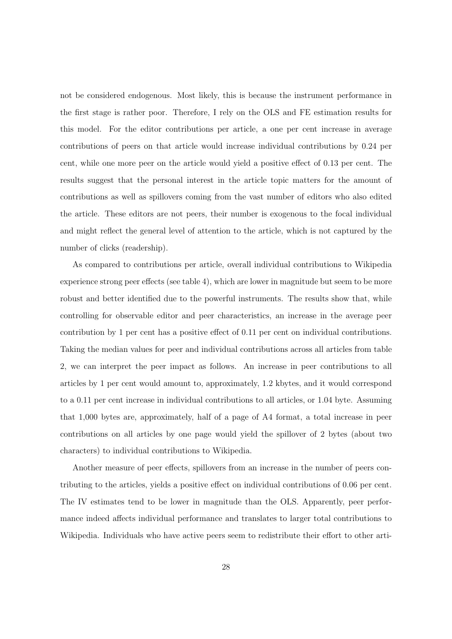not be considered endogenous. Most likely, this is because the instrument performance in the first stage is rather poor. Therefore, I rely on the OLS and FE estimation results for this model. For the editor contributions per article, a one per cent increase in average contributions of peers on that article would increase individual contributions by 0.24 per cent, while one more peer on the article would yield a positive effect of 0.13 per cent. The results suggest that the personal interest in the article topic matters for the amount of contributions as well as spillovers coming from the vast number of editors who also edited the article. These editors are not peers, their number is exogenous to the focal individual and might reflect the general level of attention to the article, which is not captured by the number of clicks (readership).

As compared to contributions per article, overall individual contributions to Wikipedia experience strong peer effects (see table 4), which are lower in magnitude but seem to be more robust and better identified due to the powerful instruments. The results show that, while controlling for observable editor and peer characteristics, an increase in the average peer contribution by 1 per cent has a positive effect of  $0.11$  per cent on individual contributions. Taking the median values for peer and individual contributions across all articles from table 2, we can interpret the peer impact as follows. An increase in peer contributions to all articles by 1 per cent would amount to, approximately, 1.2 kbytes, and it would correspond to a 0.11 per cent increase in individual contributions to all articles, or 1.04 byte. Assuming that 1,000 bytes are, approximately, half of a page of A4 format, a total increase in peer contributions on all articles by one page would yield the spillover of 2 bytes (about two characters) to individual contributions to Wikipedia.

Another measure of peer effects, spillovers from an increase in the number of peers contributing to the articles, yields a positive effect on individual contributions of 0.06 per cent. The IV estimates tend to be lower in magnitude than the OLS. Apparently, peer performance indeed affects individual performance and translates to larger total contributions to Wikipedia. Individuals who have active peers seem to redistribute their effort to other arti-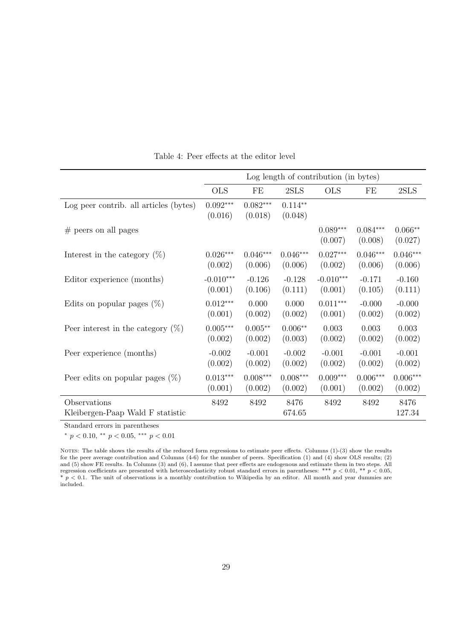|                                                  |                       |                       |                      | Log length of contribution (in bytes) |                       |                      |
|--------------------------------------------------|-----------------------|-----------------------|----------------------|---------------------------------------|-----------------------|----------------------|
|                                                  | <b>OLS</b>            | FE                    | 2SLS                 | <b>OLS</b>                            | FE                    | 2SLS                 |
| Log peer contrib. all articles (bytes)           | $0.092***$<br>(0.016) | $0.082***$<br>(0.018) | $0.114**$<br>(0.048) |                                       |                       |                      |
| $#$ peers on all pages                           |                       |                       |                      | $0.089***$<br>(0.007)                 | $0.084***$<br>(0.008) | $0.066**$<br>(0.027) |
| Interest in the category $(\%)$                  | $0.026***$            | $0.046***$            | $0.046***$           | $0.027***$                            | $0.046***$            | $0.046***$           |
|                                                  | (0.002)               | (0.006)               | (0.006)              | (0.002)                               | (0.006)               | (0.006)              |
| Editor experience (months)                       | $-0.010***$           | $-0.126$              | $-0.128$             | $-0.010***$                           | $-0.171$              | $-0.160$             |
|                                                  | (0.001)               | (0.106)               | (0.111)              | (0.001)                               | (0.105)               | (0.111)              |
| Edits on popular pages $(\%)$                    | $0.012***$            | 0.000                 | 0.000                | $0.011***$                            | $-0.000$              | $-0.000$             |
|                                                  | (0.001)               | (0.002)               | (0.002)              | (0.001)                               | (0.002)               | (0.002)              |
| Peer interest in the category $(\%)$             | $0.005***$            | $0.005**$             | $0.006**$            | 0.003                                 | 0.003                 | 0.003                |
|                                                  | (0.002)               | (0.002)               | (0.003)              | (0.002)                               | (0.002)               | (0.002)              |
| Peer experience (months)                         | $-0.002$              | $-0.001$              | $-0.002$             | $-0.001$                              | $-0.001$              | $-0.001$             |
|                                                  | (0.002)               | (0.002)               | (0.002)              | (0.002)                               | (0.002)               | (0.002)              |
| Peer edits on popular pages $(\%)$               | $0.013***$            | $0.008***$            | $0.008***$           | $0.009***$                            | $0.006***$            | $0.006***$           |
|                                                  | (0.001)               | (0.002)               | (0.002)              | (0.001)                               | (0.002)               | (0.002)              |
| Observations<br>Kleibergen-Paap Wald F statistic | 8492                  | 8492                  | 8476<br>674.65       | 8492                                  | 8492                  | 8476<br>127.34       |

Table 4: Peer effects at the editor level

 $*$   $p < 0.10, **$   $p < 0.05,***$   $p < 0.01$ 

NOTES: The table shows the results of the reduced form regressions to estimate peer effects. Columns (1)-(3) show the results for the peer average contribution and Columns (4-6) for the number of peers. Specification (1) and (4) show OLS results; (2) and (5) show FE results. In Columns (3) and (6), I assume that peer effects are endogenous and estimate them in two steps. All regression coefficients are presented with heteroscedasticity robust standard errors in parentheses: \*\*\*  $p < 0.01$ , \*\*  $p < 0.05$ ,  $* p < 0.1$ . The unit of observations is a monthly contribution to Wikipedia by an editor. All month and year dummies are  $* p < 0.1$ . included.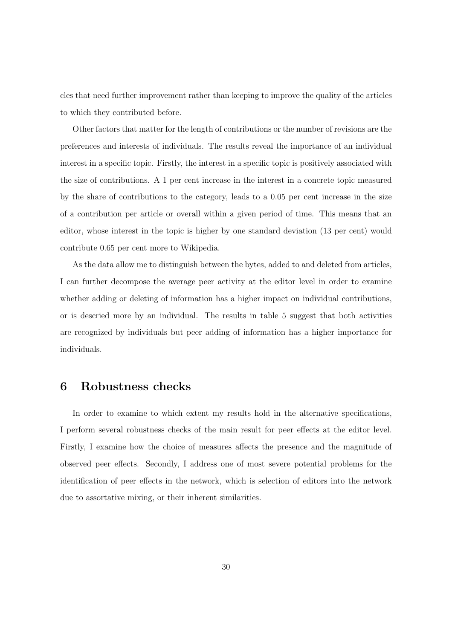cles that need further improvement rather than keeping to improve the quality of the articles to which they contributed before.

Other factors that matter for the length of contributions or the number of revisions are the preferences and interests of individuals. The results reveal the importance of an individual interest in a specific topic. Firstly, the interest in a specific topic is positively associated with the size of contributions. A 1 per cent increase in the interest in a concrete topic measured by the share of contributions to the category, leads to a 0.05 per cent increase in the size of a contribution per article or overall within a given period of time. This means that an editor, whose interest in the topic is higher by one standard deviation (13 per cent) would contribute 0.65 per cent more to Wikipedia.

As the data allow me to distinguish between the bytes, added to and deleted from articles, I can further decompose the average peer activity at the editor level in order to examine whether adding or deleting of information has a higher impact on individual contributions, or is descried more by an individual. The results in table 5 suggest that both activities are recognized by individuals but peer adding of information has a higher importance for individuals.

## 6 Robustness checks

In order to examine to which extent my results hold in the alternative specifications, I perform several robustness checks of the main result for peer effects at the editor level. Firstly, I examine how the choice of measures affects the presence and the magnitude of observed peer effects. Secondly, I address one of most severe potential problems for the identification of peer effects in the network, which is selection of editors into the network due to assortative mixing, or their inherent similarities.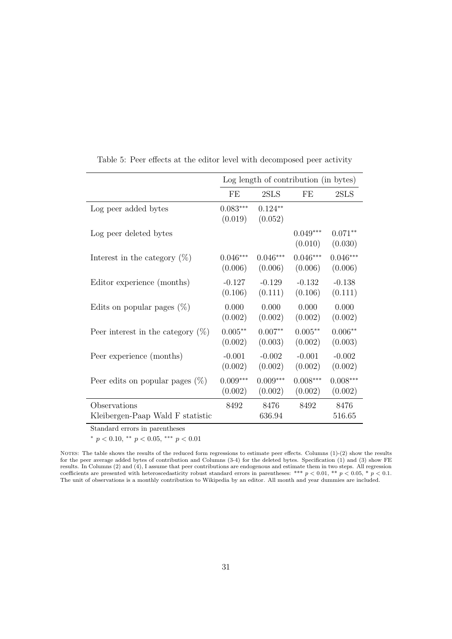|                                                                         |                       | Log length of contribution (in bytes) |                       |                      |
|-------------------------------------------------------------------------|-----------------------|---------------------------------------|-----------------------|----------------------|
|                                                                         | FE                    | 2SLS                                  | FE                    | 2SLS                 |
| Log peer added bytes                                                    | $0.083***$<br>(0.019) | $0.124**$<br>(0.052)                  |                       |                      |
| Log peer deleted bytes                                                  |                       |                                       | $0.049***$<br>(0.010) | $0.071**$<br>(0.030) |
| Interest in the category $(\%)$                                         | $0.046***$            | $0.046***$                            | $0.046***$            | $0.046***$           |
|                                                                         | (0.006)               | (0.006)                               | (0.006)               | (0.006)              |
| Editor experience (months)                                              | $-0.127$              | $-0.129$                              | $-0.132$              | $-0.138$             |
|                                                                         | (0.106)               | (0.111)                               | (0.106)               | (0.111)              |
| Edits on popular pages $(\%)$                                           | 0.000                 | 0.000                                 | 0.000                 | 0.000                |
|                                                                         | (0.002)               | (0.002)                               | (0.002)               | (0.002)              |
| Peer interest in the category $(\%)$                                    | $0.005**$             | $0.007**$                             | $0.005**$             | $0.006**$            |
|                                                                         | (0.002)               | (0.003)                               | (0.002)               | (0.003)              |
| Peer experience (months)                                                | $-0.001$              | $-0.002$                              | $-0.001$              | $-0.002$             |
|                                                                         | (0.002)               | (0.002)                               | (0.002)               | (0.002)              |
| Peer edits on popular pages $(\%)$                                      | $0.009***$            | $0.009***$                            | $0.008***$            | $0.008***$           |
|                                                                         | (0.002)               | (0.002)                               | (0.002)               | (0.002)              |
| Observations<br>Kleibergen-Paap Wald F statistic<br>$\alpha$ , $\alpha$ | 8492                  | 8476<br>636.94                        | 8492                  | 8476<br>516.65       |

Table 5: Peer effects at the editor level with decomposed peer activity

 $*$   $p < 0.10, **$   $p < 0.05,***$   $p < 0.01$ 

NOTES: The table shows the results of the reduced form regressions to estimate peer effects. Columns  $(1)-(2)$  show the results for the peer average added bytes of contribution and Columns  $(3-4)$  for the deleted bytes. Specification  $(1)$  and  $(3)$  show FE results. In Columns (2) and (4), I assume that peer contributions are endogenous and estimate them in two steps. All regression coefficients are presented with heteroscedasticity robust standard errors in parentheses: \*\*\*  $p < 0.01$ , \*\*  $p < 0.05$ , \*  $p < 0.1$ . The unit of observations is a monthly contribution to Wikipedia by an editor. All month and year dummies are included.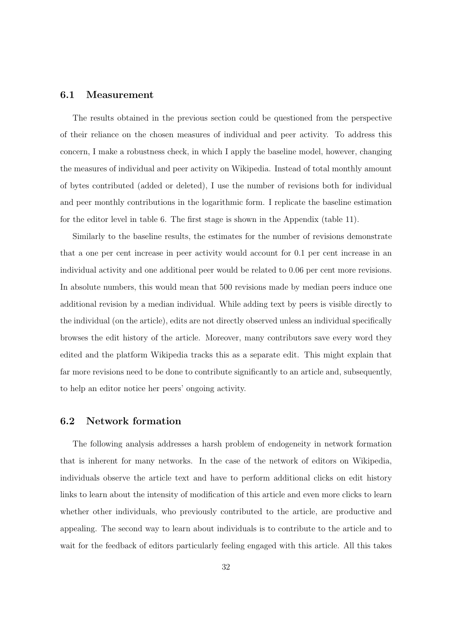### 6.1 Measurement

The results obtained in the previous section could be questioned from the perspective of their reliance on the chosen measures of individual and peer activity. To address this concern, I make a robustness check, in which I apply the baseline model, however, changing the measures of individual and peer activity on Wikipedia. Instead of total monthly amount of bytes contributed (added or deleted), I use the number of revisions both for individual and peer monthly contributions in the logarithmic form. I replicate the baseline estimation for the editor level in table 6. The first stage is shown in the Appendix (table 11).

Similarly to the baseline results, the estimates for the number of revisions demonstrate that a one per cent increase in peer activity would account for 0.1 per cent increase in an individual activity and one additional peer would be related to 0.06 per cent more revisions. In absolute numbers, this would mean that 500 revisions made by median peers induce one additional revision by a median individual. While adding text by peers is visible directly to the individual (on the article), edits are not directly observed unless an individual specifically browses the edit history of the article. Moreover, many contributors save every word they edited and the platform Wikipedia tracks this as a separate edit. This might explain that far more revisions need to be done to contribute significantly to an article and, subsequently, to help an editor notice her peers' ongoing activity.

### 6.2 Network formation

The following analysis addresses a harsh problem of endogeneity in network formation that is inherent for many networks. In the case of the network of editors on Wikipedia, individuals observe the article text and have to perform additional clicks on edit history links to learn about the intensity of modification of this article and even more clicks to learn whether other individuals, who previously contributed to the article, are productive and appealing. The second way to learn about individuals is to contribute to the article and to wait for the feedback of editors particularly feeling engaged with this article. All this takes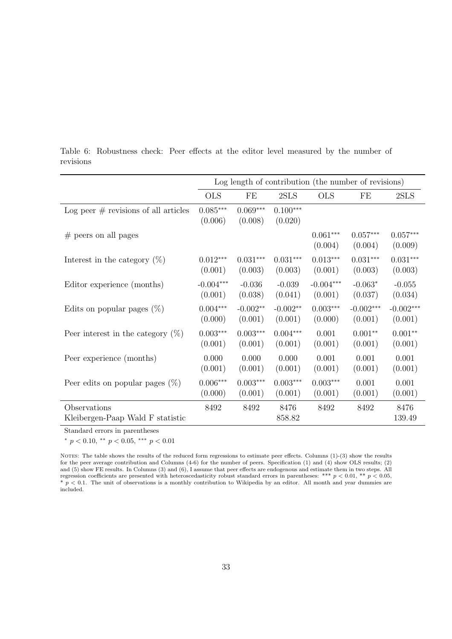|                                                  |                       |                       |                       | Log length of contribution (the number of revisions) |                       |                       |
|--------------------------------------------------|-----------------------|-----------------------|-----------------------|------------------------------------------------------|-----------------------|-----------------------|
|                                                  | <b>OLS</b>            | FE                    | 2SLS                  | <b>OLS</b>                                           | $\rm FE$              | 2SLS                  |
| Log peer $#$ revisions of all articles           | $0.085***$<br>(0.006) | $0.069***$<br>(0.008) | $0.100***$<br>(0.020) |                                                      |                       |                       |
| $\#$ peers on all pages                          |                       |                       |                       | $0.061***$<br>(0.004)                                | $0.057***$<br>(0.004) | $0.057***$<br>(0.009) |
| Interest in the category $(\%)$                  | $0.012***$            | $0.031***$            | $0.031***$            | $0.013***$                                           | $0.031***$            | $0.031***$            |
|                                                  | (0.001)               | (0.003)               | (0.003)               | (0.001)                                              | (0.003)               | (0.003)               |
| Editor experience (months)                       | $-0.004***$           | $-0.036$              | $-0.039$              | $-0.004***$                                          | $-0.063*$             | $-0.055$              |
|                                                  | (0.001)               | (0.038)               | (0.041)               | (0.001)                                              | (0.037)               | (0.034)               |
| Edits on popular pages $(\%)$                    | $0.004***$            | $-0.002**$            | $-0.002**$            | $0.003***$                                           | $-0.002***$           | $-0.002***$           |
|                                                  | (0.000)               | (0.001)               | (0.001)               | (0.000)                                              | (0.001)               | (0.001)               |
| Peer interest in the category $(\%)$             | $0.003***$            | $0.003***$            | $0.004***$            | 0.001                                                | $0.001**$             | $0.001**$             |
|                                                  | (0.001)               | (0.001)               | (0.001)               | (0.001)                                              | (0.001)               | (0.001)               |
| Peer experience (months)                         | 0.000                 | 0.000                 | 0.000                 | 0.001                                                | 0.001                 | 0.001                 |
|                                                  | (0.001)               | (0.001)               | (0.001)               | (0.001)                                              | (0.001)               | (0.001)               |
| Peer edits on popular pages $(\%)$               | $0.006***$            | $0.003***$            | $0.003^{***}\,$       | $0.003***$                                           | 0.001                 | 0.001                 |
|                                                  | (0.000)               | (0.001)               | (0.001)               | (0.001)                                              | (0.001)               | (0.001)               |
| Observations<br>Kleibergen-Paap Wald F statistic | 8492                  | 8492                  | 8476<br>858.82        | 8492                                                 | 8492                  | 8476<br>139.49        |

Table 6: Robustness check: Peer effects at the editor level measured by the number of revisions

 $*$   $p < 0.10, **$   $p < 0.05,***$   $p < 0.01$ 

NOTES: The table shows the results of the reduced form regressions to estimate peer effects. Columns (1)-(3) show the results for the peer average contribution and Columns  $(4-6)$  for the number of peers. Specification  $(1)$  and  $(4)$  show OLS results;  $(2)$ and  $(5)$  show FE results. In Columns  $(3)$  and  $(6)$ , I assume that peer effects are endogenous and estimate them in two steps. All regression coefficients are presented with heteroscedasticity robust standard errors in parentheses: \*\*\*  $p < 0.01$ , \*\*  $p < 0.05$ ,  $p < 0.1$ . The unit of observations is a monthly contribution to Wikipedia by an editor. All month and year dummies are included.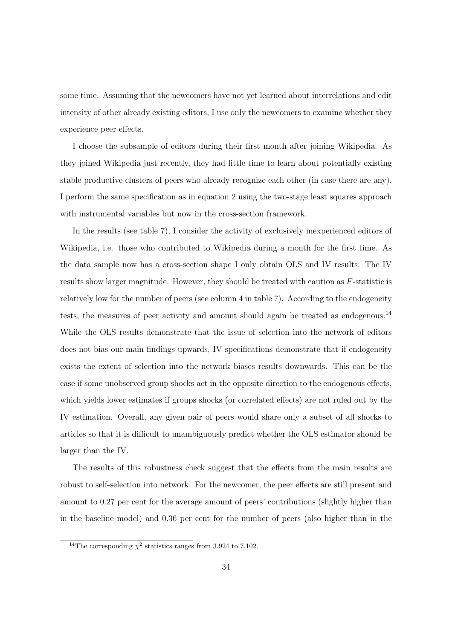some time. Assuming that the newcomers have not yet learned about interrelations and edit intensity of other already existing editors, I use only the newcomers to examine whether they experience peer effects.

I choose the subsample of editors during their first month after joining Wikipedia. As they joined Wikipedia just recently, they had little time to learn about potentially existing stable productive clusters of peers who already recognize each other (in case there are any). I perform the same specification as in equation 2 using the two-stage least squares approach with instrumental variables but now in the cross-section framework.

In the results (see table 7), I consider the activity of exclusively inexperienced editors of Wikipedia, i.e. those who contributed to Wikipedia during a month for the first time. As the data sample now has a cross-section shape I only obtain OLS and IV results. The IV results show larger magnitude. However, they should be treated with caution as *F*-statistic is relatively low for the number of peers (see column 4 in table 7). According to the endogeneity tests, the measures of peer activity and amount should again be treated as endogenous.<sup>14</sup> While the OLS results demonstrate that the issue of selection into the network of editors does not bias our main findings upwards, IV specifications demonstrate that if endogeneity exists the extent of selection into the network biases results downwards. This can be the case if some unobserved group shocks act in the opposite direction to the endogenous effects, which yields lower estimates if groups shocks (or correlated effects) are not ruled out by the IV estimation. Overall, any given pair of peers would share only a subset of all shocks to articles so that it is difficult to unambiguously predict whether the OLS estimator should be larger than the IV.

The results of this robustness check suggest that the effects from the main results are robust to self-selection into network. For the newcomer, the peer effects are still present and amount to 0.27 per cent for the average amount of peers' contributions (slightly higher than in the baseline model) and 0.36 per cent for the number of peers (also higher than in the

<sup>&</sup>lt;sup>14</sup>The corresponding  $\chi^2$  statistics ranges from 3.924 to 7.102.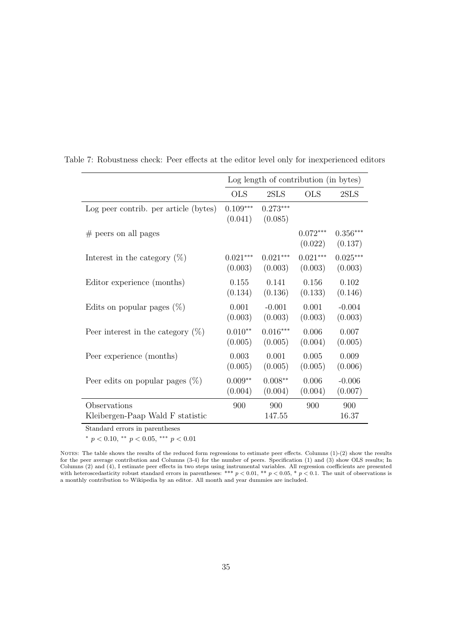|                                                  |                       | Log length of contribution (in bytes) |                       |                       |
|--------------------------------------------------|-----------------------|---------------------------------------|-----------------------|-----------------------|
|                                                  | <b>OLS</b>            | 2SLS                                  | <b>OLS</b>            | 2SLS                  |
| Log peer contrib. per article (bytes)            | $0.109***$<br>(0.041) | $0.273***$<br>(0.085)                 |                       |                       |
| $#$ peers on all pages                           |                       |                                       | $0.072***$<br>(0.022) | $0.356***$<br>(0.137) |
| Interest in the category $(\%)$                  | $0.021***$            | $0.021***$                            | $0.021***$            | $0.025***$            |
|                                                  | (0.003)               | (0.003)                               | (0.003)               | (0.003)               |
| Editor experience (months)                       | 0.155                 | 0.141                                 | 0.156                 | 0.102                 |
|                                                  | (0.134)               | (0.136)                               | (0.133)               | (0.146)               |
| Edits on popular pages $(\%)$                    | 0.001                 | $-0.001$                              | 0.001                 | $-0.004$              |
|                                                  | (0.003)               | (0.003)                               | (0.003)               | (0.003)               |
| Peer interest in the category $(\%)$             | $0.010**$             | $0.016***$                            | 0.006                 | 0.007                 |
|                                                  | (0.005)               | (0.005)                               | (0.004)               | (0.005)               |
| Peer experience (months)                         | 0.003                 | 0.001                                 | 0.005                 | 0.009                 |
|                                                  | (0.005)               | (0.005)                               | (0.005)               | (0.006)               |
| Peer edits on popular pages $(\%)$               | $0.009**$             | $0.008**$                             | 0.006                 | $-0.006$              |
|                                                  | (0.004)               | (0.004)                               | (0.004)               | (0.007)               |
| Observations<br>Kleibergen-Paap Wald F statistic | 900                   | 900<br>147.55                         | 900                   | 900<br>16.37          |

Table 7: Robustness check: Peer effects at the editor level only for inexperienced editors

 $*$   $p$  < 0.10,  $**$   $p$  < 0.05, \*\*\*  $p$  < 0.01

NOTES: The table shows the results of the reduced form regressions to estimate peer effects. Columns  $(1)-(2)$  show the results for the peer average contribution and Columns (3-4) for the number of peers. Specification (1) and (3) show OLS results; In Columns  $(2)$  and  $(4)$ , I estimate peer effects in two steps using instrumental variables. All regression coefficients are presented with heteroscedasticity robust standard errors in parentheses: \*\*\*  $p < 0.01$ , \*\*  $p < 0.05$ , \*  $p < 0.1$ . The unit of observations is a monthly contribution to Wikipedia by an editor. All month and year dummies are included.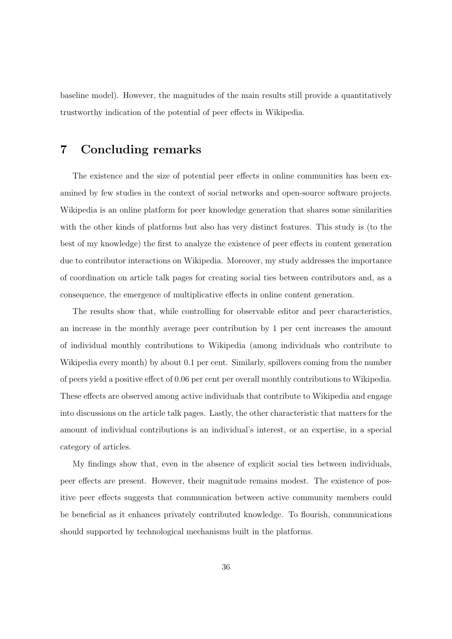baseline model). However, the magnitudes of the main results still provide a quantitatively trustworthy indication of the potential of peer effects in Wikipedia.

# 7 Concluding remarks

The existence and the size of potential peer effects in online communities has been examined by few studies in the context of social networks and open-source software projects. Wikipedia is an online platform for peer knowledge generation that shares some similarities with the other kinds of platforms but also has very distinct features. This study is (to the best of my knowledge) the first to analyze the existence of peer effects in content generation due to contributor interactions on Wikipedia. Moreover, my study addresses the importance of coordination on article talk pages for creating social ties between contributors and, as a consequence, the emergence of multiplicative effects in online content generation.

The results show that, while controlling for observable editor and peer characteristics, an increase in the monthly average peer contribution by 1 per cent increases the amount of individual monthly contributions to Wikipedia (among individuals who contribute to Wikipedia every month) by about 0.1 per cent. Similarly, spillovers coming from the number of peers yield a positive effect of 0.06 per cent per overall monthly contributions to Wikipedia. These effects are observed among active individuals that contribute to Wikipedia and engage into discussions on the article talk pages. Lastly, the other characteristic that matters for the amount of individual contributions is an individual's interest, or an expertise, in a special category of articles.

My findings show that, even in the absence of explicit social ties between individuals, peer effects are present. However, their magnitude remains modest. The existence of positive peer effects suggests that communication between active community members could be beneficial as it enhances privately contributed knowledge. To flourish, communications should supported by technological mechanisms built in the platforms.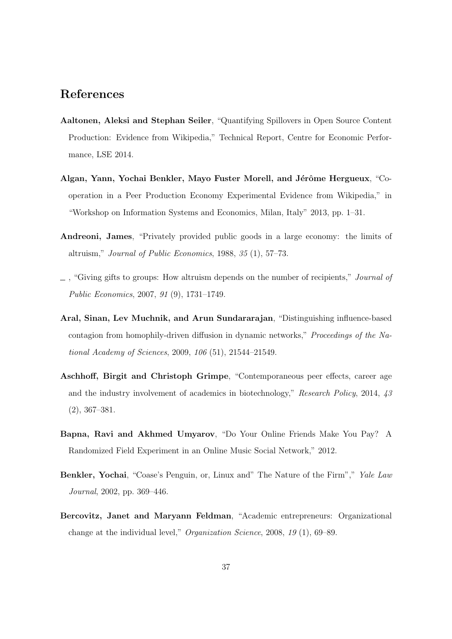# References

- Aaltonen, Aleksi and Stephan Seiler, "Quantifying Spillovers in Open Source Content Production: Evidence from Wikipedia," Technical Report, Centre for Economic Performance, LSE 2014.
- Algan, Yann, Yochai Benkler, Mayo Fuster Morell, and Jérôme Hergueux, "Cooperation in a Peer Production Economy Experimental Evidence from Wikipedia," in "Workshop on Information Systems and Economics, Milan, Italy" 2013, pp. 1–31.
- Andreoni, James, "Privately provided public goods in a large economy: the limits of altruism," *Journal of Public Economics*, 1988, *35* (1), 57–73.
- , "Giving gifts to groups: How altruism depends on the number of recipients," *Journal of Public Economics*, 2007, *91* (9), 1731–1749.
- Aral, Sinan, Lev Muchnik, and Arun Sundararajan, "Distinguishing influence-based contagion from homophily-driven diffusion in dynamic networks," *Proceedings of the National Academy of Sciences*, 2009, *106* (51), 21544–21549.
- Aschhoff, Birgit and Christoph Grimpe, "Contemporaneous peer effects, career age and the industry involvement of academics in biotechnology," *Research Policy*, 2014, *43* (2), 367–381.
- Bapna, Ravi and Akhmed Umyarov, "Do Your Online Friends Make You Pay? A Randomized Field Experiment in an Online Music Social Network," 2012.
- Benkler, Yochai, "Coase's Penguin, or, Linux and" The Nature of the Firm"," *Yale Law Journal*, 2002, pp. 369–446.
- Bercovitz, Janet and Maryann Feldman, "Academic entrepreneurs: Organizational change at the individual level," *Organization Science*, 2008, *19* (1), 69–89.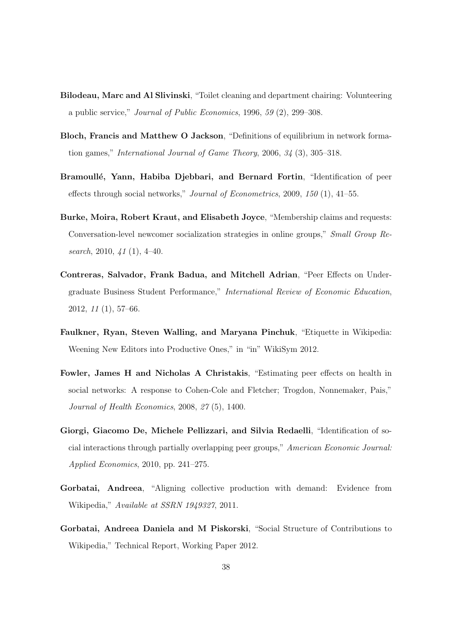- Bilodeau, Marc and Al Slivinski, "Toilet cleaning and department chairing: Volunteering a public service," *Journal of Public Economics*, 1996, *59* (2), 299–308.
- Bloch, Francis and Matthew O Jackson, "Definitions of equilibrium in network formation games," *International Journal of Game Theory*, 2006, *34* (3), 305–318.
- Bramoullé, Yann, Habiba Djebbari, and Bernard Fortin, "Identification of peer effects through social networks," *Journal of Econometrics*, 2009, 150 (1), 41–55.
- Burke, Moira, Robert Kraut, and Elisabeth Joyce, "Membership claims and requests: Conversation-level newcomer socialization strategies in online groups," *Small Group Research*, 2010, *41* (1), 4–40.
- Contreras, Salvador, Frank Badua, and Mitchell Adrian, "Peer Effects on Undergraduate Business Student Performance," *International Review of Economic Education*, 2012, *11* (1), 57–66.
- Faulkner, Ryan, Steven Walling, and Maryana Pinchuk, "Etiquette in Wikipedia: Weening New Editors into Productive Ones," in "in" WikiSym 2012.
- Fowler, James H and Nicholas A Christakis, "Estimating peer effects on health in social networks: A response to Cohen-Cole and Fletcher; Trogdon, Nonnemaker, Pais," *Journal of Health Economics*, 2008, *27* (5), 1400.
- Giorgi, Giacomo De, Michele Pellizzari, and Silvia Redaelli, "Identification of social interactions through partially overlapping peer groups," *American Economic Journal: Applied Economics*, 2010, pp. 241–275.
- Gorbatai, Andreea, "Aligning collective production with demand: Evidence from Wikipedia," *Available at SSRN 1949327*, 2011.
- Gorbatai, Andreea Daniela and M Piskorski, "Social Structure of Contributions to Wikipedia," Technical Report, Working Paper 2012.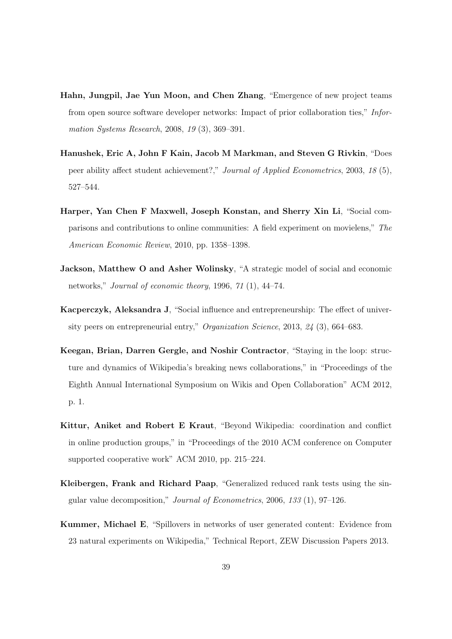- Hahn, Jungpil, Jae Yun Moon, and Chen Zhang, "Emergence of new project teams from open source software developer networks: Impact of prior collaboration ties," *Information Systems Research*, 2008, *19* (3), 369–391.
- Hanushek, Eric A, John F Kain, Jacob M Markman, and Steven G Rivkin, "Does peer ability affect student achievement?," *Journal of Applied Econometrics*, 2003, 18 (5), 527–544.
- Harper, Yan Chen F Maxwell, Joseph Konstan, and Sherry Xin Li, "Social comparisons and contributions to online communities: A field experiment on movielens," *The American Economic Review*, 2010, pp. 1358–1398.
- Jackson, Matthew O and Asher Wolinsky, "A strategic model of social and economic networks," *Journal of economic theory*, 1996, *71* (1), 44–74.
- Kacperczyk, Aleksandra J, "Social influence and entrepreneurship: The effect of university peers on entrepreneurial entry," *Organization Science*, 2013, *24* (3), 664–683.
- Keegan, Brian, Darren Gergle, and Noshir Contractor, "Staying in the loop: structure and dynamics of Wikipedia's breaking news collaborations," in "Proceedings of the Eighth Annual International Symposium on Wikis and Open Collaboration" ACM 2012, p. 1.
- Kittur, Aniket and Robert E Kraut, "Beyond Wikipedia: coordination and conflict in online production groups," in "Proceedings of the 2010 ACM conference on Computer supported cooperative work" ACM 2010, pp. 215–224.
- Kleibergen, Frank and Richard Paap, "Generalized reduced rank tests using the singular value decomposition," *Journal of Econometrics*, 2006, *133* (1), 97–126.
- Kummer, Michael E, "Spillovers in networks of user generated content: Evidence from 23 natural experiments on Wikipedia," Technical Report, ZEW Discussion Papers 2013.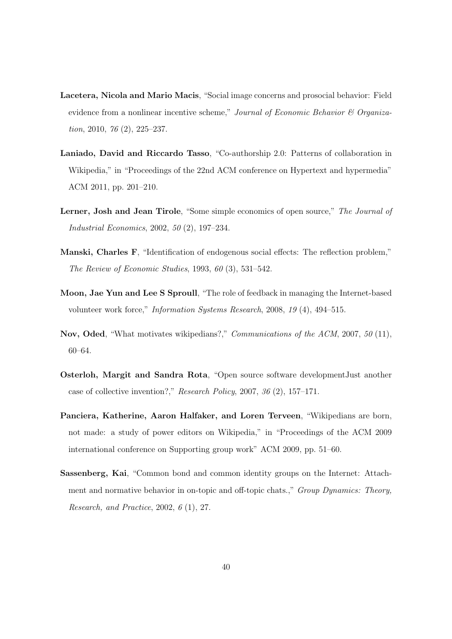- Lacetera, Nicola and Mario Macis, "Social image concerns and prosocial behavior: Field evidence from a nonlinear incentive scheme," *Journal of Economic Behavior & Organization*, 2010, *76* (2), 225–237.
- Laniado, David and Riccardo Tasso, "Co-authorship 2.0: Patterns of collaboration in Wikipedia," in "Proceedings of the 22nd ACM conference on Hypertext and hypermedia" ACM 2011, pp. 201–210.
- Lerner, Josh and Jean Tirole, "Some simple economics of open source," *The Journal of Industrial Economics*, 2002, *50* (2), 197–234.
- Manski, Charles F, "Identification of endogenous social effects: The reflection problem," *The Review of Economic Studies*, 1993, *60* (3), 531–542.
- Moon, Jae Yun and Lee S Sproull, "The role of feedback in managing the Internet-based volunteer work force," *Information Systems Research*, 2008, *19* (4), 494–515.
- Nov, Oded, "What motivates wikipedians?," *Communications of the ACM*, 2007, *50* (11), 60–64.
- Osterloh, Margit and Sandra Rota, "Open source software developmentJust another case of collective invention?," *Research Policy*, 2007, *36* (2), 157–171.
- Panciera, Katherine, Aaron Halfaker, and Loren Terveen, "Wikipedians are born, not made: a study of power editors on Wikipedia," in "Proceedings of the ACM 2009 international conference on Supporting group work" ACM 2009, pp. 51–60.
- Sassenberg, Kai, "Common bond and common identity groups on the Internet: Attachment and normative behavior in on-topic and off-topic chats.," *Group Dynamics: Theory*, *Research, and Practice*, 2002, *6* (1), 27.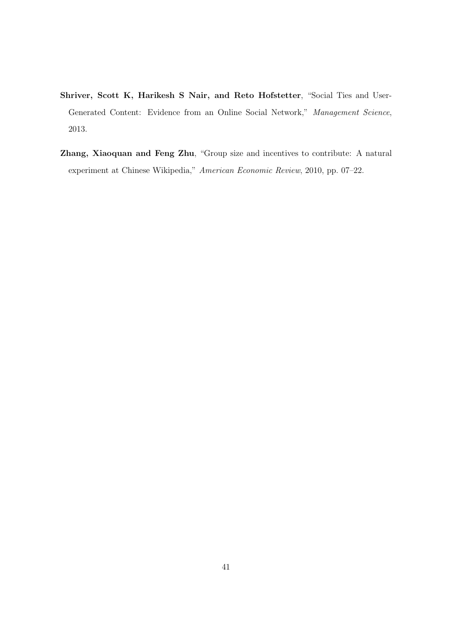- Shriver, Scott K, Harikesh S Nair, and Reto Hofstetter, "Social Ties and User-Generated Content: Evidence from an Online Social Network," *Management Science*, 2013.
- Zhang, Xiaoquan and Feng Zhu, "Group size and incentives to contribute: A natural experiment at Chinese Wikipedia," *American Economic Review*, 2010, pp. 07–22.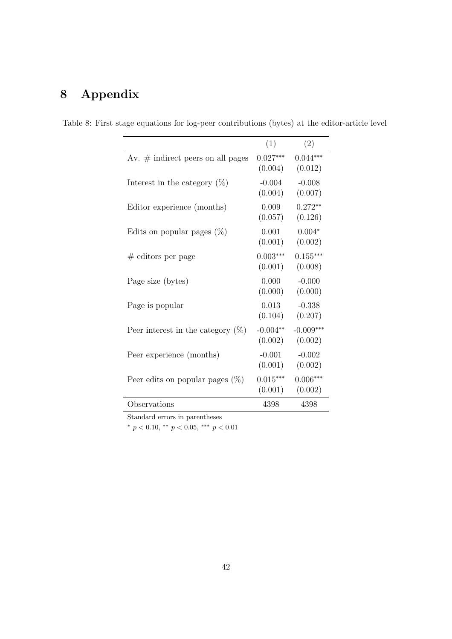# 8 Appendix

|                                      | (1)                   | (2)                    |
|--------------------------------------|-----------------------|------------------------|
| Av. $#$ indirect peers on all pages  | $0.027***$<br>(0.004) | $0.044***$<br>(0.012)  |
| Interest in the category $(\%)$      | $-0.004$<br>(0.004)   | $-0.008$<br>(0.007)    |
| Editor experience (months)           | 0.009<br>(0.057)      | $0.272**$<br>(0.126)   |
| Edits on popular pages $(\%)$        | 0.001<br>(0.001)      | $0.004*$<br>(0.002)    |
| $#$ editors per page                 | $0.003***$<br>(0.001) | $0.155***$<br>(0.008)  |
| Page size (bytes)                    | 0.000<br>(0.000)      | $-0.000$<br>(0.000)    |
| Page is popular                      | 0.013<br>(0.104)      | $-0.338$<br>(0.207)    |
| Peer interest in the category $(\%)$ | $-0.004**$<br>(0.002) | $-0.009***$<br>(0.002) |
| Peer experience (months)             | $-0.001$<br>(0.001)   | $-0.002$<br>(0.002)    |
| Peer edits on popular pages $(\%)$   | $0.015***$<br>(0.001) | $0.006***$<br>(0.002)  |
| Observations                         | 4398                  | 4398                   |

Table 8: First stage equations for log-peer contributions (bytes) at the editor-article level

Standard errors in parentheses

 $*$   $p$  < 0.10,  $*$   $*$   $p$  < 0.05,  $*$   $*$   $*$   $p$  < 0.01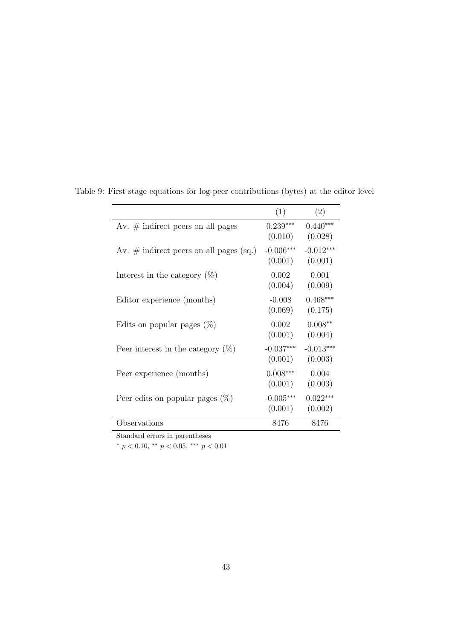|                                            | (1)                    | (2)                    |
|--------------------------------------------|------------------------|------------------------|
| Av. $\#$ indirect peers on all pages       | $0.239***$<br>(0.010)  | $0.440***$<br>(0.028)  |
| Av. $\#$ indirect peers on all pages (sq.) | $-0.006***$<br>(0.001) | $-0.012***$<br>(0.001) |
| Interest in the category $(\%)$            | 0.002<br>(0.004)       | 0.001<br>(0.009)       |
| Editor experience (months)                 | $-0.008$<br>(0.069)    | $0.468***$<br>(0.175)  |
| Edits on popular pages $(\%)$              | 0.002<br>(0.001)       | $0.008**$<br>(0.004)   |
| Peer interest in the category $(\%)$       | $-0.037***$<br>(0.001) | $-0.013***$<br>(0.003) |
| Peer experience (months)                   | $0.008***$<br>(0.001)  | 0.004<br>(0.003)       |
| Peer edits on popular pages $(\%)$         | $-0.005***$<br>(0.001) | $0.022***$<br>(0.002)  |
| Observations                               | 8476                   | 8476                   |

Table 9: First stage equations for log-peer contributions (bytes) at the editor level

 $p < 0.10, \cdot^* p < 0.05, \cdot^{**} p < 0.01$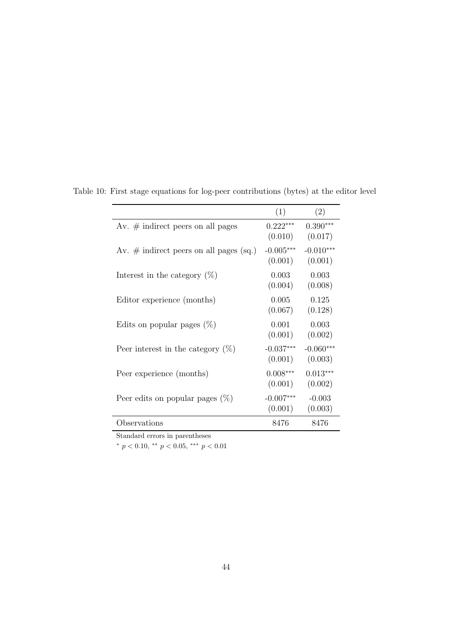|                                            | (1)                    | (2)                    |
|--------------------------------------------|------------------------|------------------------|
| Av. $\#$ indirect peers on all pages       | $0.222***$<br>(0.010)  | $0.390***$<br>(0.017)  |
| Av. $\#$ indirect peers on all pages (sq.) | $-0.005***$<br>(0.001) | $-0.010***$<br>(0.001) |
| Interest in the category $(\%)$            | 0.003<br>(0.004)       | 0.003<br>(0.008)       |
| Editor experience (months)                 | 0.005<br>(0.067)       | 0.125<br>(0.128)       |
| Edits on popular pages $(\%)$              | 0.001<br>(0.001)       | 0.003<br>(0.002)       |
| Peer interest in the category $(\%)$       | $-0.037***$<br>(0.001) | $-0.060***$<br>(0.003) |
| Peer experience (months)                   | $0.008***$<br>(0.001)  | $0.013***$<br>(0.002)  |
| Peer edits on popular pages $(\%)$         | $-0.007***$<br>(0.001) | $-0.003$<br>(0.003)    |
| Observations                               | 8476                   | 8476                   |

Table 10: First stage equations for log-peer contributions (bytes) at the editor level

 $p < 0.10, \cdot^* p < 0.05, \cdot^{**} p < 0.01$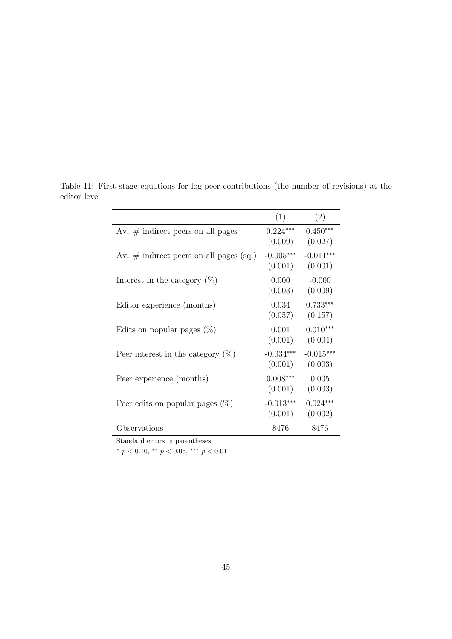|                                            | (1)                    | (2)                    |
|--------------------------------------------|------------------------|------------------------|
| Av. $\#$ indirect peers on all pages       | $0.224***$<br>(0.009)  | $0.450***$<br>(0.027)  |
| Av. $\#$ indirect peers on all pages (sq.) | $-0.005***$<br>(0.001) | $-0.011***$<br>(0.001) |
| Interest in the category $(\%)$            | 0.000<br>(0.003)       | $-0.000$<br>(0.009)    |
| Editor experience (months)                 | 0.034<br>(0.057)       | $0.733***$<br>(0.157)  |
| Edits on popular pages $(\%)$              | 0.001<br>(0.001)       | $0.010***$<br>(0.004)  |
| Peer interest in the category $(\%)$       | $-0.034***$<br>(0.001) | $-0.015***$<br>(0.003) |
| Peer experience (months)                   | $0.008***$<br>(0.001)  | 0.005<br>(0.003)       |
| Peer edits on popular pages $(\%)$         | $-0.013***$<br>(0.001) | $0.024***$<br>(0.002)  |
| Observations                               | 8476                   | 8476                   |

Table 11: First stage equations for log-peer contributions (the number of revisions) at the editor level

\*  $p < 0.10,$  \*\*  $p < 0.05,$  \*\*\*  $p < 0.01$